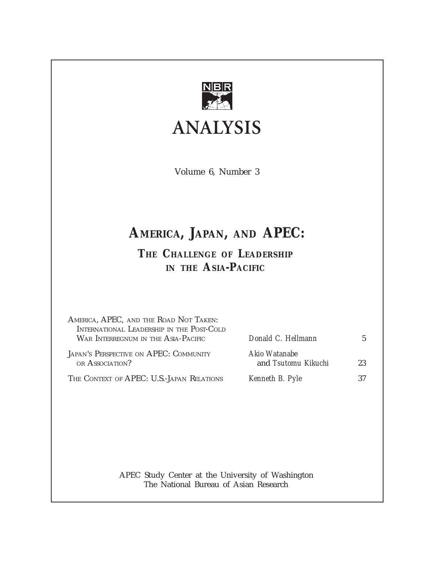

# **ANALYSIS**

Volume 6, Number 3

# **AMERICA, JAPAN, AND APEC:**

**THE CHALLENGE OF LEADERSHIP IN THE ASIA-PACIFIC**

| AMERICA, APEC, AND THE ROAD NOT TAKEN:<br>INTERNATIONAL LEADERSHIP IN THE POST-COLD |                                      |    |
|-------------------------------------------------------------------------------------|--------------------------------------|----|
| WAR INTERREGNUM IN THE ASIA-PACIFIC                                                 | Donald C. Hellmann                   |    |
| <b>JAPAN'S PERSPECTIVE ON APEC: COMMUNITY</b><br>OR ASSOCIATION?                    | Akio Watanabe<br>and Tsutomu Kikuchi | 23 |
| THE CONTEXT OF APEC: U.S.-JAPAN RELATIONS                                           | Kenneth B. Pyle                      |    |

APEC Study Center at the University of Washington The National Bureau of Asian Research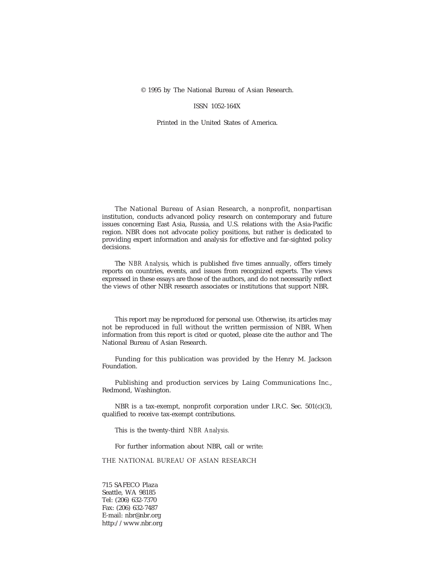© 1995 by The National Bureau of Asian Research.

#### ISSN 1052-164X

Printed in the United States of America.

The National Bureau of Asian Research, a nonprofit, nonpartisan institution, conducts advanced policy research on contemporary and future issues concerning East Asia, Russia, and U.S. relations with the Asia-Pacific region. NBR does not advocate policy positions, but rather is dedicated to providing expert information and analysis for effective and far-sighted policy decisions.

The *NBR Analysis*, which is published five times annually, offers timely reports on countries, events, and issues from recognized experts. The views expressed in these essays are those of the authors, and do not necessarily reflect the views of other NBR research associates or institutions that support NBR.

This report may be reproduced for personal use. Otherwise, its articles may not be reproduced in full without the written permission of NBR. When information from this report is cited or quoted, please cite the author and The National Bureau of Asian Research.

Funding for this publication was provided by the Henry M. Jackson Foundation.

Publishing and production services by Laing Communications Inc., Redmond, Washington.

NBR is a tax-exempt, nonprofit corporation under I.R.C. Sec. 501(c)(3), qualified to receive tax-exempt contributions.

This is the twenty-third *NBR Analysis.*

For further information about NBR, call or write:

THE NATIONAL BUREAU OF ASIAN RESEARCH

715 SAFECO Plaza Seattle, WA 98185 Tel: (206) 632-7370 Fax: (206) 632-7487 E-mail: nbr@nbr.org http://www.nbr.org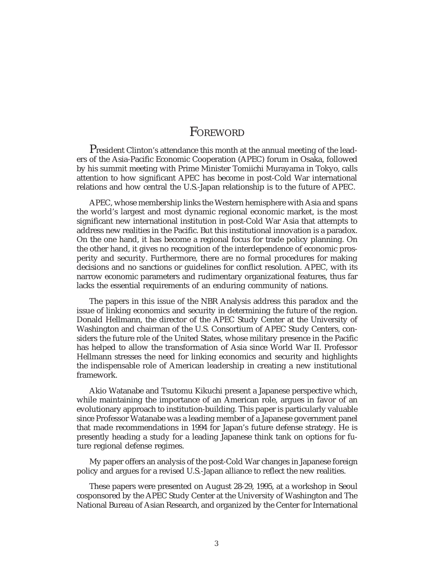# FOREWORD

President Clinton's attendance this month at the annual meeting of the leaders of the Asia-Pacific Economic Cooperation (APEC) forum in Osaka, followed by his summit meeting with Prime Minister Tomiichi Murayama in Tokyo, calls attention to how significant APEC has become in post-Cold War international relations and how central the U.S.-Japan relationship is to the future of APEC.

APEC, whose membership links the Western hemisphere with Asia and spans the world's largest and most dynamic regional economic market, is the most significant new international institution in post-Cold War Asia that attempts to address new realities in the Pacific. But this institutional innovation is a paradox. On the one hand, it has become a regional focus for trade policy planning. On the other hand, it gives no recognition of the interdependence of economic prosperity and security. Furthermore, there are no formal procedures for making decisions and no sanctions or guidelines for conflict resolution. APEC, with its narrow economic parameters and rudimentary organizational features, thus far lacks the essential requirements of an enduring community of nations.

The papers in this issue of the NBR Analysis address this paradox and the issue of linking economics and security in determining the future of the region. Donald Hellmann, the director of the APEC Study Center at the University of Washington and chairman of the U.S. Consortium of APEC Study Centers, considers the future role of the United States, whose military presence in the Pacific has helped to allow the transformation of Asia since World War II. Professor Hellmann stresses the need for linking economics and security and highlights the indispensable role of American leadership in creating a new institutional framework.

Akio Watanabe and Tsutomu Kikuchi present a Japanese perspective which, while maintaining the importance of an American role, argues in favor of an evolutionary approach to institution-building. This paper is particularly valuable since Professor Watanabe was a leading member of a Japanese government panel that made recommendations in 1994 for Japan's future defense strategy. He is presently heading a study for a leading Japanese think tank on options for future regional defense regimes.

My paper offers an analysis of the post-Cold War changes in Japanese foreign policy and argues for a revised U.S.-Japan alliance to reflect the new realities.

These papers were presented on August 28-29, 1995, at a workshop in Seoul cosponsored by the APEC Study Center at the University of Washington and The National Bureau of Asian Research, and organized by the Center for International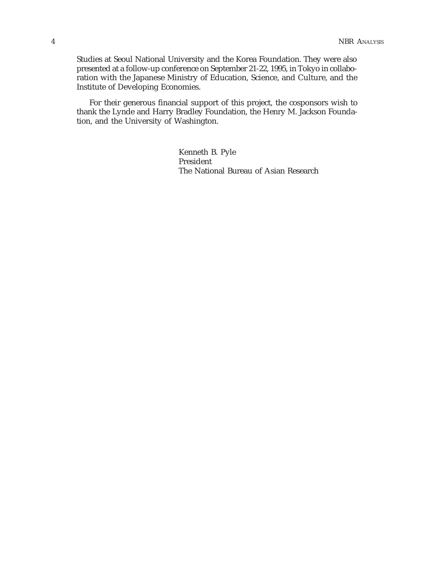Studies at Seoul National University and the Korea Foundation. They were also presented at a follow-up conference on September 21-22, 1995, in Tokyo in collaboration with the Japanese Ministry of Education, Science, and Culture, and the Institute of Developing Economies.

For their generous financial support of this project, the cosponsors wish to thank the Lynde and Harry Bradley Foundation, the Henry M. Jackson Foundation, and the University of Washington.

> Kenneth B. Pyle President The National Bureau of Asian Research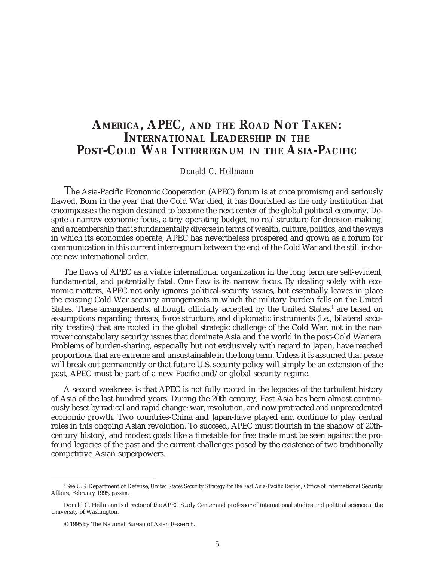# **AMERICA, APEC, AND THE ROAD NOT TAKEN: INTERNATIONAL LEADERSHIP IN THE POST-COLD WAR INTERREGNUM IN THE ASIA-PACIFIC**

## *Donald C. Hellmann*

The Asia-Pacific Economic Cooperation (APEC) forum is at once promising and seriously flawed. Born in the year that the Cold War died, it has flourished as the only institution that encompasses the region destined to become the next center of the global political economy. Despite a narrow economic focus, a tiny operating budget, no real structure for decision-making, and a membership that is fundamentally diverse in terms of wealth, culture, politics, and the ways in which its economies operate, APEC has nevertheless prospered and grown as a forum for communication in this current interregnum between the end of the Cold War and the still inchoate new international order.

The flaws of APEC as a viable international organization in the long term are self-evident, fundamental, and potentially fatal. One flaw is its narrow focus. By dealing solely with economic matters, APEC not only ignores political-security issues, but essentially leaves in place the existing Cold War security arrangements in which the military burden falls on the United States. These arrangements, although officially accepted by the United States, $^1$  are based on assumptions regarding threats, force structure, and diplomatic instruments (i.e., bilateral security treaties) that are rooted in the global strategic challenge of the Cold War, not in the narrower constabulary security issues that dominate Asia and the world in the post-Cold War era. Problems of burden-sharing, especially but not exclusively with regard to Japan, have reached proportions that are extreme and unsustainable in the long term. Unless it is assumed that peace will break out permanently or that future U.S. security policy will simply be an extension of the past, APEC must be part of a new Pacific and/or global security regime.

A second weakness is that APEC is not fully rooted in the legacies of the turbulent history of Asia of the last hundred years. During the 20th century, East Asia has been almost continuously beset by radical and rapid change: war, revolution, and now protracted and unprecedented economic growth. Two countries-China and Japan-have played and continue to play central roles in this ongoing Asian revolution. To succeed, APEC must flourish in the shadow of 20thcentury history, and modest goals like a timetable for free trade must be seen against the profound legacies of the past and the current challenges posed by the existence of two traditionally competitive Asian superpowers.

<sup>1</sup> See U.S. Department of Defense, *United States Security Strategy for the East Asia-Pacific Region*, Office of International Security Affairs, February 1995, *passim*.

Donald C. Hellmann is director of the APEC Study Center and professor of international studies and political science at the University of Washington.

<sup>© 1995</sup> by The National Bureau of Asian Research.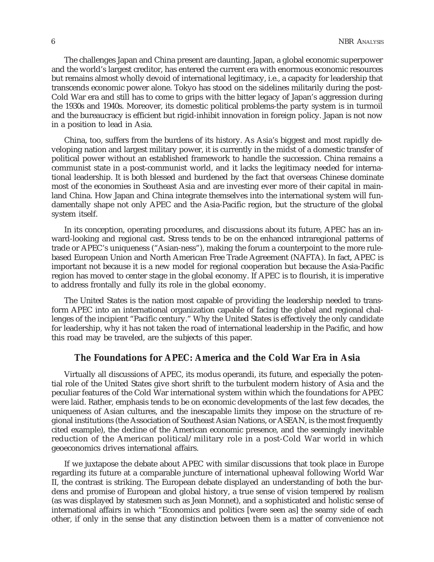The challenges Japan and China present are daunting. Japan, a global economic superpower and the world's largest creditor, has entered the current era with enormous economic resources but remains almost wholly devoid of international legitimacy, i.e., a capacity for leadership that transcends economic power alone. Tokyo has stood on the sidelines militarily during the post-Cold War era and still has to come to grips with the bitter legacy of Japan's aggression during the 1930s and 1940s. Moreover, its domestic political problems-the party system is in turmoil and the bureaucracy is efficient but rigid-inhibit innovation in foreign policy. Japan is not now in a position to lead in Asia.

China, too, suffers from the burdens of its history. As Asia's biggest and most rapidly developing nation and largest military power, it is currently in the midst of a domestic transfer of political power without an established framework to handle the succession. China remains a communist state in a post-communist world, and it lacks the legitimacy needed for international leadership. It is both blessed and burdened by the fact that overseas Chinese dominate most of the economies in Southeast Asia and are investing ever more of their capital in mainland China. How Japan and China integrate themselves into the international system will fundamentally shape not only APEC and the Asia-Pacific region, but the structure of the global system itself.

In its conception, operating procedures, and discussions about its future, APEC has an inward-looking and regional cast. Stress tends to be on the enhanced intraregional patterns of trade or APEC's uniqueness ("Asian-ness"), making the forum a counterpoint to the more rulebased European Union and North American Free Trade Agreement (NAFTA). In fact, APEC is important not because it is a new model for regional cooperation but because the Asia-Pacific region has moved to center stage in the global economy. If APEC is to flourish, it is imperative to address frontally and fully its role in the global economy.

The United States is the nation most capable of providing the leadership needed to transform APEC into an international organization capable of facing the global and regional challenges of the incipient "Pacific century." Why the United States is effectively the only candidate for leadership, why it has not taken the road of international leadership in the Pacific, and how this road may be traveled, are the subjects of this paper.

# **The Foundations for APEC: America and the Cold War Era in Asia**

Virtually all discussions of APEC, its modus operandi, its future, and especially the potential role of the United States give short shrift to the turbulent modern history of Asia and the peculiar features of the Cold War international system within which the foundations for APEC were laid. Rather, emphasis tends to be on economic developments of the last few decades, the uniqueness of Asian cultures, and the inescapable limits they impose on the structure of regional institutions (the Association of Southeast Asian Nations, or ASEAN, is the most frequently cited example), the decline of the American economic presence, and the seemingly inevitable reduction of the American political/military role in a post-Cold War world in which geoeconomics drives international affairs.

If we juxtapose the debate about APEC with similar discussions that took place in Europe regarding its future at a comparable juncture of international upheaval following World War II, the contrast is striking. The European debate displayed an understanding of both the burdens and promise of European and global history, a true sense of vision tempered by realism (as was displayed by statesmen such as Jean Monnet), and a sophisticated and holistic sense of international affairs in which "Economics and politics [were seen as] the seamy side of each other, if only in the sense that any distinction between them is a matter of convenience not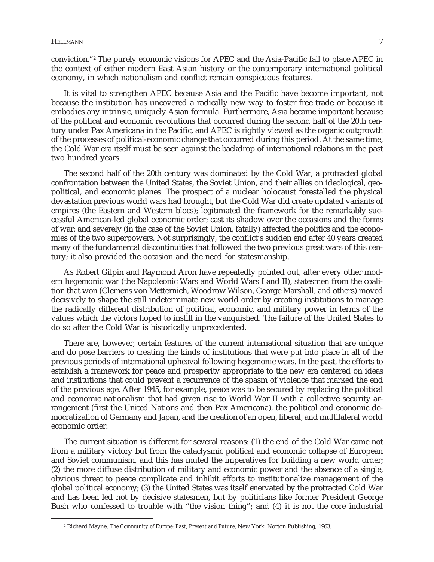conviction."2 The purely economic visions for APEC and the Asia-Pacific fail to place APEC in the context of either modern East Asian history or the contemporary international political economy, in which nationalism and conflict remain conspicuous features.

It is vital to strengthen APEC because Asia and the Pacific have become important, not because the institution has uncovered a radically new way to foster free trade or because it embodies any intrinsic, uniquely Asian formula. Furthermore, Asia became important because of the political and economic revolutions that occurred during the second half of the 20th century under Pax Americana in the Pacific, and APEC is rightly viewed as the organic outgrowth of the processes of political-economic change that occurred during this period. At the same time, the Cold War era itself must be seen against the backdrop of international relations in the past two hundred years.

The second half of the 20th century was dominated by the Cold War, a protracted global confrontation between the United States, the Soviet Union, and their allies on ideological, geopolitical, and economic planes. The prospect of a nuclear holocaust forestalled the physical devastation previous world wars had brought, but the Cold War did create updated variants of empires (the Eastern and Western blocs); legitimated the framework for the remarkably successful American-led global economic order; cast its shadow over the occasions and the forms of war; and severely (in the case of the Soviet Union, fatally) affected the politics and the economies of the two superpowers. Not surprisingly, the conflict's sudden end after 40 years created many of the fundamental discontinuities that followed the two previous great wars of this century; it also provided the occasion and the need for statesmanship.

As Robert Gilpin and Raymond Aron have repeatedly pointed out, after every other modern hegemonic war (the Napoleonic Wars and World Wars I and II), statesmen from the coalition that won (Clemens von Metternich, Woodrow Wilson, George Marshall, and others) moved decisively to shape the still indeterminate new world order by creating institutions to manage the radically different distribution of political, economic, and military power in terms of the values which the victors hoped to instill in the vanquished. The failure of the United States to do so after the Cold War is historically unprecedented.

There are, however, certain features of the current international situation that are unique and do pose barriers to creating the kinds of institutions that were put into place in all of the previous periods of international upheaval following hegemonic wars. In the past, the efforts to establish a framework for peace and prosperity appropriate to the new era centered on ideas and institutions that could prevent a recurrence of the spasm of violence that marked the end of the previous age. After 1945, for example, peace was to be secured by replacing the political and economic nationalism that had given rise to World War II with a collective security arrangement (first the United Nations and then Pax Americana), the political and economic democratization of Germany and Japan, and the creation of an open, liberal, and multilateral world economic order.

The current situation is different for several reasons: (1) the end of the Cold War came not from a military victory but from the cataclysmic political and economic collapse of European and Soviet communism, and this has muted the imperatives for building a new world order; (2) the more diffuse distribution of military and economic power and the absence of a single, obvious threat to peace complicate and inhibit efforts to institutionalize management of the global political economy; (3) the United States was itself enervated by the protracted Cold War and has been led not by decisive statesmen, but by politicians like former President George Bush who confessed to trouble with "the vision thing"; and (4) it is not the core industrial

<sup>2</sup> Richard Mayne, *The Community of Europe: Past, Present and Future*, New York: Norton Publishing, 1963.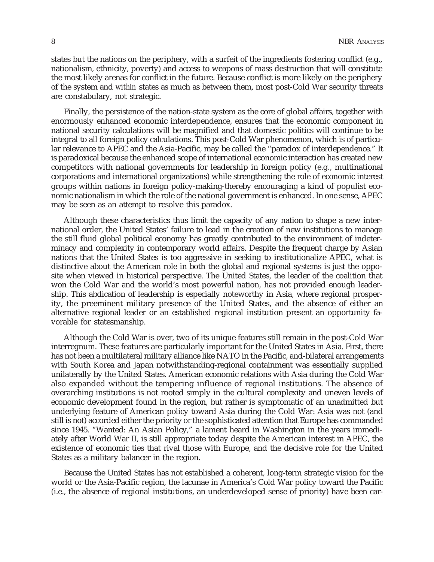states but the nations on the periphery, with a surfeit of the ingredients fostering conflict (e.g., nationalism, ethnicity, poverty) and access to weapons of mass destruction that will constitute the most likely arenas for conflict in the future. Because conflict is more likely on the periphery of the system and *within* states as much as between them, most post-Cold War security threats are constabulary, not strategic.

Finally, the persistence of the nation-state system as the core of global affairs, together with enormously enhanced economic interdependence, ensures that the economic component in national security calculations will be magnified and that domestic politics will continue to be integral to all foreign policy calculations. This post-Cold War phenomenon, which is of particular relevance to APEC and the Asia-Pacific, may be called the "paradox of interdependence." It is paradoxical because the enhanced scope of international economic interaction has created new competitors with national governments for leadership in foreign policy (e.g., multinational corporations and international organizations) while strengthening the role of economic interest groups within nations in foreign policy-making-thereby encouraging a kind of populist economic nationalism in which the role of the national government is enhanced. In one sense, APEC may be seen as an attempt to resolve this paradox.

Although these characteristics thus limit the capacity of any nation to shape a new international order, the United States' failure to lead in the creation of new institutions to manage the still fluid global political economy has greatly contributed to the environment of indeterminacy and complexity in contemporary world affairs. Despite the frequent charge by Asian nations that the United States is too aggressive in seeking to institutionalize APEC, what is distinctive about the American role in both the global and regional systems is just the opposite when viewed in historical perspective. The United States, the leader of the coalition that won the Cold War and the world's most powerful nation, has not provided enough leadership. This abdication of leadership is especially noteworthy in Asia, where regional prosperity, the preeminent military presence of the United States, and the absence of either an alternative regional leader or an established regional institution present an opportunity favorable for statesmanship.

Although the Cold War is over, two of its unique features still remain in the post-Cold War interregnum. These features are particularly important for the United States in Asia. First, there has not been a multilateral military alliance like NATO in the Pacific, and-bilateral arrangements with South Korea and Japan notwithstanding-regional containment was essentially supplied unilaterally by the United States. American economic relations with Asia during the Cold War also expanded without the tempering influence of regional institutions. The absence of overarching institutions is not rooted simply in the cultural complexity and uneven levels of economic development found in the region, but rather is symptomatic of an unadmitted but underlying feature of American policy toward Asia during the Cold War: Asia was not (and still is not) accorded either the priority or the sophisticated attention that Europe has commanded since 1945. "Wanted: An Asian Policy," a lament heard in Washington in the years immediately after World War II, is still appropriate today despite the American interest in APEC, the existence of economic ties that rival those with Europe, and the decisive role for the United States as a military balancer in the region.

Because the United States has not established a coherent, long-term strategic vision for the world or the Asia-Pacific region, the lacunae in America's Cold War policy toward the Pacific (i.e., the absence of regional institutions, an underdeveloped sense of priority) have been car-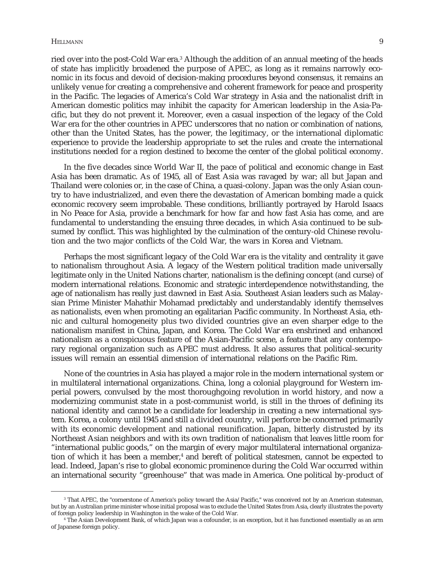#### HELLMANN 9

ried over into the post-Cold War era.<sup>3</sup> Although the addition of an annual meeting of the heads of state has implicitly broadened the purpose of APEC, as long as it remains narrowly economic in its focus and devoid of decision-making procedures beyond consensus, it remains an unlikely venue for creating a comprehensive and coherent framework for peace and prosperity in the Pacific. The legacies of America's Cold War strategy in Asia and the nationalist drift in American domestic politics may inhibit the capacity for American leadership in the Asia-Pacific, but they do not prevent it. Moreover, even a casual inspection of the legacy of the Cold War era for the other countries in APEC underscores that no nation or combination of nations, other than the United States, has the power, the legitimacy, or the international diplomatic experience to provide the leadership appropriate to set the rules and create the international institutions needed for a region destined to become the center of the global political economy.

In the five decades since World War II, the pace of political and economic change in East Asia has been dramatic. As of 1945, all of East Asia was ravaged by war; all but Japan and Thailand were colonies or, in the case of China, a quasi-colony. Japan was the only Asian country to have industrialized, and even there the devastation of American bombing made a quick economic recovery seem improbable. These conditions, brilliantly portrayed by Harold Isaacs in No Peace for Asia, provide a benchmark for how far and how fast Asia has come, and are fundamental to understanding the ensuing three decades, in which Asia continued to be subsumed by conflict. This was highlighted by the culmination of the century-old Chinese revolution and the two major conflicts of the Cold War, the wars in Korea and Vietnam.

Perhaps the most significant legacy of the Cold War era is the vitality and centrality it gave to nationalism throughout Asia. A legacy of the Western political tradition made universally legitimate only in the United Nations charter, nationalism is the defining concept (and curse) of modern international relations. Economic and strategic interdependence notwithstanding, the age of nationalism has really just dawned in East Asia. Southeast Asian leaders such as Malaysian Prime Minister Mahathir Mohamad predictably and understandably identify themselves as nationalists, even when promoting an egalitarian Pacific community. In Northeast Asia, ethnic and cultural homogeneity plus two divided countries give an even sharper edge to the nationalism manifest in China, Japan, and Korea. The Cold War era enshrined and enhanced nationalism as a conspicuous feature of the Asian-Pacific scene, a feature that any contemporary regional organization such as APEC must address. It also assures that political-security issues will remain an essential dimension of international relations on the Pacific Rim.

None of the countries in Asia has played a major role in the modern international system or in multilateral international organizations. China, long a colonial playground for Western imperial powers, convulsed by the most thoroughgoing revolution in world history, and now a modernizing communist state in a post-communist world, is still in the throes of defining its national identity and cannot be a candidate for leadership in creating a new international system. Korea, a colony until 1945 and still a divided country, will perforce be concerned primarily with its economic development and national reunification. Japan, bitterly distrusted by its Northeast Asian neighbors and with its own tradition of nationalism that leaves little room for "international public goods," on the margin of every major multilateral international organization of which it has been a member,<sup>4</sup> and bereft of political statesmen, cannot be expected to lead. Indeed, Japan's rise to global economic prominence during the Cold War occurred within an international security "greenhouse" that was made in America. One political by-product of

<sup>3</sup> That APEC, the "cornerstone of America's policy toward the Asia/Pacific," was conceived not by an American statesman, but by an Australian prime minister whose initial proposal was to exclude the United States from Asia, clearly illustrates the poverty of foreign policy leadership in Washington in the wake of the Cold War.

<sup>4</sup> The Asian Development Bank, of which Japan was a cofounder, is an exception, but it has functioned essentially as an arm of Japanese foreign policy.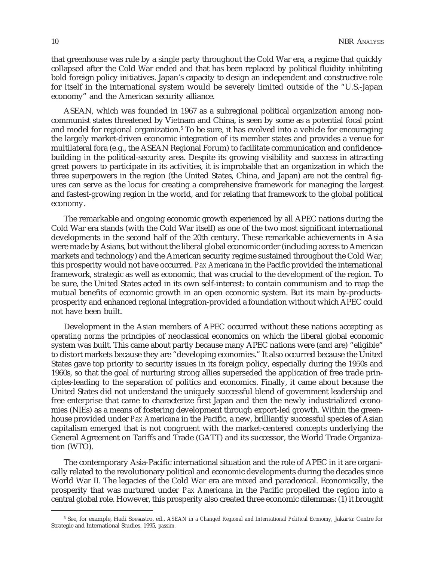that greenhouse was rule by a single party throughout the Cold War era, a regime that quickly collapsed after the Cold War ended and that has been replaced by political fluidity inhibiting bold foreign policy initiatives. Japan's capacity to design an independent and constructive role for itself in the international system would be severely limited outside of the "U.S.-Japan economy" and the American security alliance.

ASEAN, which was founded in 1967 as a subregional political organization among noncommunist states threatened by Vietnam and China, is seen by some as a potential focal point and model for regional organization.<sup>5</sup> To be sure, it has evolved into a vehicle for encouraging the largely market-driven economic integration of its member states and provides a venue for multilateral fora (e.g., the ASEAN Regional Forum) to facilitate communication and confidencebuilding in the political-security area. Despite its growing visibility and success in attracting great powers to participate in its activities, it is improbable that an organization in which the three superpowers in the region (the United States, China, and Japan) are not the central figures can serve as the locus for creating a comprehensive framework for managing the largest and fastest-growing region in the world, and for relating that framework to the global political economy.

The remarkable and ongoing economic growth experienced by all APEC nations during the Cold War era stands (with the Cold War itself) as one of the two most significant international developments in the second half of the 20th century. These remarkable achievements in Asia were made by Asians, but without the liberal global economic order (including access to American markets and technology) and the American security regime sustained throughout the Cold War, this prosperity would not have occurred. *Pax Americana* in the Pacific provided the international framework, strategic as well as economic, that was crucial to the development of the region. To be sure, the United States acted in its own self-interest: to contain communism and to reap the mutual benefits of economic growth in an open economic system. But its main by-productsprosperity and enhanced regional integration-provided a foundation without which APEC could not have been built.

Development in the Asian members of APEC occurred without these nations accepting *as operating norms* the principles of neoclassical economics on which the liberal global economic system was built. This came about partly because many APEC nations were (and are) "eligible" to distort markets because they are "developing economies." It also occurred because the United States gave top priority to security issues in its foreign policy, especially during the 1950s and 1960s, so that the goal of nurturing strong allies superseded the application of free trade principles-leading to the separation of politics and economics. Finally, it came about because the United States did not understand the uniquely successful blend of government leadership and free enterprise that came to characterize first Japan and then the newly industrialized economies (NIEs) as a means of fostering development through export-led growth. Within the greenhouse provided under *Pax Americana* in the Pacific, a new, brilliantly successful species of Asian capitalism emerged that is not congruent with the market-centered concepts underlying the General Agreement on Tariffs and Trade (GATT) and its successor, the World Trade Organization (WTO).

The contemporary Asia-Pacific international situation and the role of APEC in it are organically related to the revolutionary political and economic developments during the decades since World War II. The legacies of the Cold War era are mixed and paradoxical. Economically, the prosperity that was nurtured under *Pax Americana* in the Pacific propelled the region into a central global role. However, this prosperity also created three economic dilemmas: (1) it brought

<sup>5</sup> See, for example, Hadi Soesastro, ed., *ASEAN in a Changed Regional and International Political Economy,* Jakarta: Centre for Strategic and International Studies, 1995, *passim.*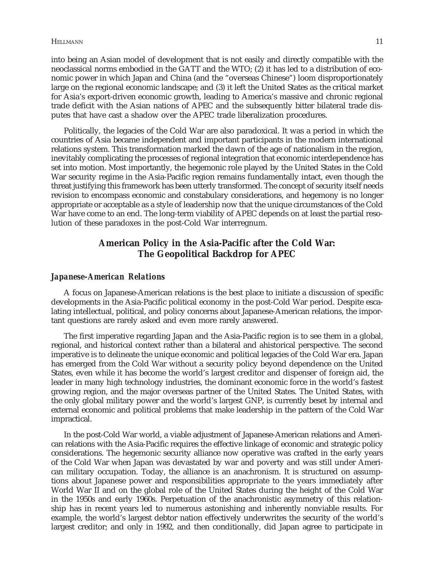into being an Asian model of development that is not easily and directly compatible with the neoclassical norms embodied in the GATT and the WTO; (2) it has led to a distribution of economic power in which Japan and China (and the "overseas Chinese") loom disproportionately large on the regional economic landscape; and (3) it left the United States as the critical market for Asia's export-driven economic growth, leading to America's massive and chronic regional trade deficit with the Asian nations of APEC and the subsequently bitter bilateral trade disputes that have cast a shadow over the APEC trade liberalization procedures.

Politically, the legacies of the Cold War are also paradoxical. It was a period in which the countries of Asia became independent and important participants in the modern international relations system. This transformation marked the dawn of the age of nationalism in the region, inevitably complicating the processes of regional integration that economic interdependence has set into motion. Most importantly, the hegemonic role played by the United States in the Cold War security regime in the Asia-Pacific region remains fundamentally intact, even though the threat justifying this framework has been utterly transformed. The concept of security itself needs revision to encompass economic and constabulary considerations, and hegemony is no longer appropriate or acceptable as a style of leadership now that the unique circumstances of the Cold War have come to an end. The long-term viability of APEC depends on at least the partial resolution of these paradoxes in the post-Cold War interregnum.

# **American Policy in the Asia-Pacific after the Cold War: The Geopolitical Backdrop for APEC**

#### *Japanese-American Relations*

A focus on Japanese-American relations is the best place to initiate a discussion of specific developments in the Asia-Pacific political economy in the post-Cold War period. Despite escalating intellectual, political, and policy concerns about Japanese-American relations, the important questions are rarely asked and even more rarely answered.

The first imperative regarding Japan and the Asia-Pacific region is to see them in a global, regional, and historical context rather than a bilateral and ahistorical perspective. The second imperative is to delineate the unique economic and political legacies of the Cold War era. Japan has emerged from the Cold War without a security policy beyond dependence on the United States, even while it has become the world's largest creditor and dispenser of foreign aid, the leader in many high technology industries, the dominant economic force in the world's fastest growing region, and the major overseas partner of the United States. The United States, with the only global military power and the world's largest GNP, is currently beset by internal and external economic and political problems that make leadership in the pattern of the Cold War impractical.

In the post-Cold War world, a viable adjustment of Japanese-American relations and American relations with the Asia-Pacific requires the effective linkage of economic and strategic policy considerations. The hegemonic security alliance now operative was crafted in the early years of the Cold War when Japan was devastated by war and poverty and was still under American military occupation. Today, the alliance is an anachronism. It is structured on assumptions about Japanese power and responsibilities appropriate to the years immediately after World War II and on the global role of the United States during the height of the Cold War in the 1950s and early 1960s. Perpetuation of the anachronistic asymmetry of this relationship has in recent years led to numerous astonishing and inherently nonviable results. For example, the world's largest debtor nation effectively underwrites the security of the world's largest creditor; and only in 1992, and then conditionally, did Japan agree to participate in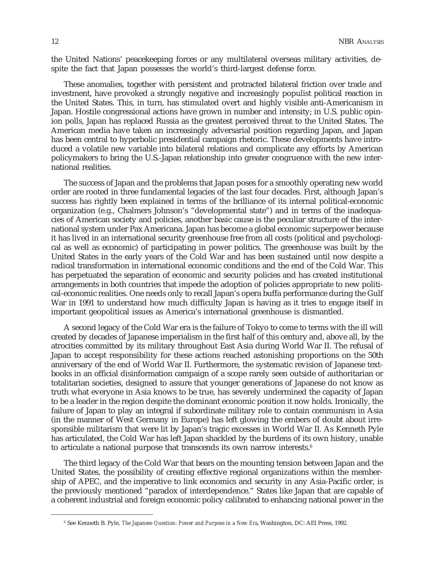the United Nations' peacekeeping forces or any multilateral overseas military activities, despite the fact that Japan possesses the world's third-largest defense force.

These anomalies, together with persistent and protracted bilateral friction over trade and investment, have provoked a strongly negative and increasingly populist political reaction in the United States. This, in turn, has stimulated overt and highly visible anti-Americanism in Japan. Hostile congressional actions have grown in number and intensity; in U.S. public opinion polls, Japan has replaced Russia as the greatest perceived threat to the United States. The American media have taken an increasingly adversarial position regarding Japan, and Japan has been central to hyperbolic presidential campaign rhetoric. These developments have introduced a volatile new variable into bilateral relations and complicate any efforts by American policymakers to bring the U.S.-Japan relationship into greater congruence with the new international realities.

The success of Japan and the problems that Japan poses for a smoothly operating new world order are rooted in three fundamental legacies of the last four decades. First, although Japan's success has rightly been explained in terms of the brilliance of its internal political-economic organization (e.g., Chalmers Johnson's "developmental state") and in terms of the inadequacies of American society and policies, another basic cause is the peculiar structure of the international system under Pax Americana. Japan has become a global economic superpower because it has lived in an international security greenhouse free from all costs (political and psychological as well as economic) of participating in power politics. The greenhouse was built by the United States in the early years of the Cold War and has been sustained until now despite a radical transformation in international economic conditions and the end of the Cold War. This has perpetuated the separation of economic and security policies and has created institutional arrangements in both countries that impede the adoption of policies appropriate to new political-economic realities. One needs only to recall Japan's opera buffa performance during the Gulf War in 1991 to understand how much difficulty Japan is having as it tries to engage itself in important geopolitical issues as America's international greenhouse is dismantled.

A second legacy of the Cold War era is the failure of Tokyo to come to terms with the ill will created by decades of Japanese imperialism in the first half of this century and, above all, by the atrocities committed by its military throughout East Asia during World War II. The refusal of Japan to accept responsibility for these actions reached astonishing proportions on the 50th anniversary of the end of World War II. Furthermore, the systematic revision of Japanese textbooks in an official disinformation campaign of a scope rarely seen outside of authoritarian or totalitarian societies, designed to assure that younger generations of Japanese do not know as truth what everyone in Asia knows to be true, has severely undermined the capacity of Japan to be a leader in the region despite the dominant economic position it now holds. Ironically, the failure of Japan to play an integral if subordinate military role to contain communism in Asia (in the manner of West Germany in Europe) has left glowing the embers of doubt about irresponsible militarism that were lit by Japan's tragic excesses in World War II. As Kenneth Pyle has articulated, the Cold War has left Japan shackled by the burdens of its own history, unable to articulate a national purpose that transcends its own narrow interests.<sup>6</sup>

The third legacy of the Cold War that bears on the mounting tension between Japan and the United States, the possibility of creating effective regional organizations within the membership of APEC, and the imperative to link economics and security in any Asia-Pacific order, is the previously mentioned "paradox of interdependence." States like Japan that are capable of a coherent industrial and foreign economic policy calibrated to enhancing national power in the

<sup>6</sup> See Kenneth B. Pyle, *The Japanese Question: Power and Purpose in a New Era*, Washington, DC: AEI Press, 1992.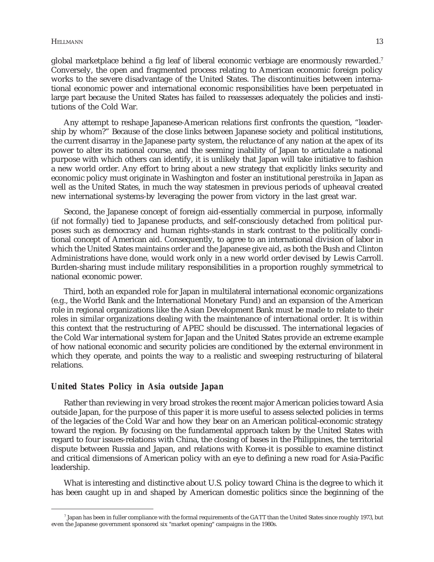#### Hellmann i 13

global marketplace behind a fig leaf of liberal economic verbiage are enormously rewarded.7 Conversely, the open and fragmented process relating to American economic foreign policy works to the severe disadvantage of the United States. The discontinuities between international economic power and international economic responsibilities have been perpetuated in large part because the United States has failed to reassesses adequately the policies and institutions of the Cold War.

Any attempt to reshape Japanese-American relations first confronts the question, "leadership by whom?" Because of the close links between Japanese society and political institutions, the current disarray in the Japanese party system, the reluctance of any nation at the apex of its power to alter its national course, and the seeming inability of Japan to articulate a national purpose with which others can identify, it is unlikely that Japan will take initiative to fashion a new world order. Any effort to bring about a new strategy that explicitly links security and economic policy must originate in Washington and foster an institutional *perestroika* in Japan as well as the United States, in much the way statesmen in previous periods of upheaval created new international systems-by leveraging the power from victory in the last great war.

Second, the Japanese concept of foreign aid-essentially commercial in purpose, informally (if not formally) tied to Japanese products, and self-consciously detached from political purposes such as democracy and human rights-stands in stark contrast to the politically conditional concept of American aid. Consequently, to agree to an international division of labor in which the United States maintains order and the Japanese give aid, as both the Bush and Clinton Administrations have done, would work only in a new world order devised by Lewis Carroll. Burden-sharing must include military responsibilities in a proportion roughly symmetrical to national economic power.

Third, both an expanded role for Japan in multilateral international economic organizations (e.g., the World Bank and the International Monetary Fund) and an expansion of the American role in regional organizations like the Asian Development Bank must be made to relate to their roles in similar organizations dealing with the maintenance of international order. It is within this context that the restructuring of APEC should be discussed. The international legacies of the Cold War international system for Japan and the United States provide an extreme example of how national economic and security policies are conditioned by the external environment in which they operate, and points the way to a realistic and sweeping restructuring of bilateral relations.

#### *United States Policy in Asia outside Japan*

Rather than reviewing in very broad strokes the recent major American policies toward Asia outside Japan, for the purpose of this paper it is more useful to assess selected policies in terms of the legacies of the Cold War and how they bear on an American political-economic strategy toward the region. By focusing on the fundamental approach taken by the United States with regard to four issues-relations with China, the closing of bases in the Philippines, the territorial dispute between Russia and Japan, and relations with Korea-it is possible to examine distinct and critical dimensions of American policy with an eye to defining a new road for Asia-Pacific leadership.

What is interesting and distinctive about U.S. policy toward China is the degree to which it has been caught up in and shaped by American domestic politics since the beginning of the

<sup>7</sup> Japan has been in fuller compliance with the formal requirements of the GATT than the United States since roughly 1973, but even the Japanese government sponsored six "market opening" campaigns in the 1980s.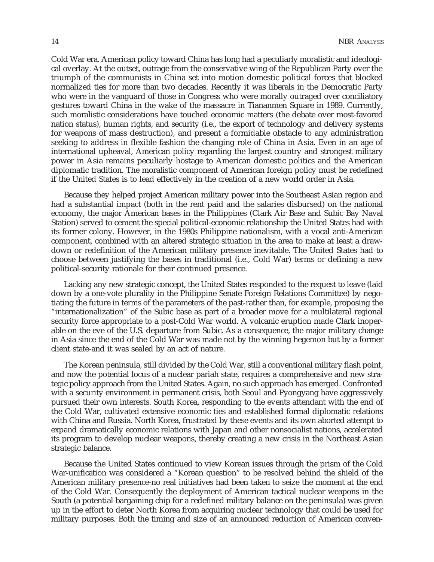Cold War era. American policy toward China has long had a peculiarly moralistic and ideological overlay. At the outset, outrage from the conservative wing of the Republican Party over the triumph of the communists in China set into motion domestic political forces that blocked normalized ties for more than two decades. Recently it was liberals in the Democratic Party who were in the vanguard of those in Congress who were morally outraged over conciliatory gestures toward China in the wake of the massacre in Tiananmen Square in 1989. Currently, such moralistic considerations have touched economic matters (the debate over most-favored nation status), human rights, and security (i.e., the export of technology and delivery systems for weapons of mass destruction), and present a formidable obstacle to any administration seeking to address in flexible fashion the changing role of China in Asia. Even in an age of international upheaval, American policy regarding the largest country and strongest military power in Asia remains peculiarly hostage to American domestic politics and the American diplomatic tradition. The moralistic component of American foreign policy must be redefined if the United States is to lead effectively in the creation of a new world order in Asia.

Because they helped project American military power into the Southeast Asian region and had a substantial impact (both in the rent paid and the salaries disbursed) on the national economy, the major American bases in the Philippines (Clark Air Base and Subic Bay Naval Station) served to cement the special political-economic relationship the United States had with its former colony. However, in the 1980s Philippine nationalism, with a vocal anti-American component, combined with an altered strategic situation in the area to make at least a drawdown or redefinition of the American military presence inevitable. The United States had to choose between justifying the bases in traditional (i.e., Cold War) terms or defining a new political-security rationale for their continued presence.

Lacking any new strategic concept, the United States responded to the request to leave (laid down by a one-vote plurality in the Philippine Senate Foreign Relations Committee) by negotiating the future in terms of the parameters of the past-rather than, for example, proposing the "internationalization" of the Subic base as part of a broader move for a multilateral regional security force appropriate to a post-Cold War world. A volcanic eruption made Clark inoperable on the eve of the U.S. departure from Subic. As a consequence, the major military change in Asia since the end of the Cold War was made not by the winning hegemon but by a former client state-and it was sealed by an act of nature.

The Korean peninsula, still divided by the Cold War, still a conventional military flash point, and now the potential locus of a nuclear pariah state, requires a comprehensive and new strategic policy approach from the United States. Again, no such approach has emerged. Confronted with a security environment in permanent crisis, both Seoul and Pyongyang have aggressively pursued their own interests. South Korea, responding to the events attendant with the end of the Cold War, cultivated extensive economic ties and established formal diplomatic relations with China and Russia. North Korea, frustrated by these events and its own aborted attempt to expand dramatically economic relations with Japan and other nonsocialist nations, accelerated its program to develop nuclear weapons, thereby creating a new crisis in the Northeast Asian strategic balance.

Because the United States continued to view Korean issues through the prism of the Cold War-unification was considered a "Korean question" to be resolved behind the shield of the American military presence-no real initiatives had been taken to seize the moment at the end of the Cold War. Consequently the deployment of American tactical nuclear weapons in the South (a potential bargaining chip for a redefined military balance on the peninsula) was given up in the effort to deter North Korea from acquiring nuclear technology that could be used for military purposes. Both the timing and size of an announced reduction of American conven-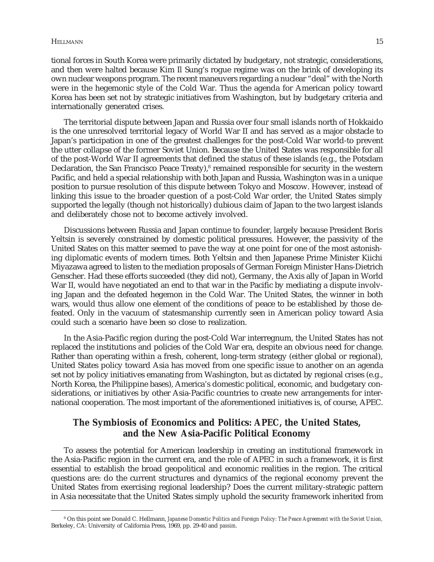#### Hellmann is the contract of the contract of the contract of the contract of the contract of the contract of the contract of the contract of the contract of the contract of the contract of the contract of the contract of th

tional forces in South Korea were primarily dictated by budgetary, not strategic, considerations, and then were halted because Kim Il Sung's rogue regime was on the brink of developing its own nuclear weapons program. The recent maneuvers regarding a nuclear "deal" with the North were in the hegemonic style of the Cold War. Thus the agenda for American policy toward Korea has been set not by strategic initiatives from Washington, but by budgetary criteria and internationally generated crises.

The territorial dispute between Japan and Russia over four small islands north of Hokkaido is the one unresolved territorial legacy of World War II and has served as a major obstacle to Japan's participation in one of the greatest challenges for the post-Cold War world-to prevent the utter collapse of the former Soviet Union. Because the United States was responsible for all of the post-World War II agreements that defined the status of these islands (e.g., the Potsdam Declaration, the San Francisco Peace Treaty), $\delta$  remained responsible for security in the western Pacific, and held a special relationship with both Japan and Russia, Washington was in a unique position to pursue resolution of this dispute between Tokyo and Moscow. However, instead of linking this issue to the broader question of a post-Cold War order, the United States simply supported the legally (though not historically) dubious claim of Japan to the two largest islands and deliberately chose not to become actively involved.

Discussions between Russia and Japan continue to founder, largely because President Boris Yeltsin is severely constrained by domestic political pressures. However, the passivity of the United States on this matter seemed to pave the way at one point for one of the most astonishing diplomatic events of modern times. Both Yeltsin and then Japanese Prime Minister Kiichi Miyazawa agreed to listen to the mediation proposals of German Foreign Minister Hans-Dietrich Genscher. Had these efforts succeeded (they did not), Germany, the Axis ally of Japan in World War II, would have negotiated an end to that war in the Pacific by mediating a dispute involving Japan and the defeated hegemon in the Cold War. The United States, the winner in both wars, would thus allow one element of the conditions of peace to be established by those defeated. Only in the vacuum of statesmanship currently seen in American policy toward Asia could such a scenario have been so close to realization.

In the Asia-Pacific region during the post-Cold War interregnum, the United States has not replaced the institutions and policies of the Cold War era, despite an obvious need for change. Rather than operating within a fresh, coherent, long-term strategy (either global or regional), United States policy toward Asia has moved from one specific issue to another on an agenda set not by policy initiatives emanating from Washington, but as dictated by regional crises (e.g., North Korea, the Philippine bases), America's domestic political, economic, and budgetary considerations, or initiatives by other Asia-Pacific countries to create new arrangements for international cooperation. The most important of the aforementioned initiatives is, of course, APEC.

# **The Symbiosis of Economics and Politics: APEC, the United States, and the New Asia-Pacific Political Economy**

To assess the potential for American leadership in creating an institutional framework in the Asia-Pacific region in the current era, and the role of APEC in such a framework, it is first essential to establish the broad geopolitical and economic realities in the region. The critical questions are: do the current structures and dynamics of the regional economy prevent the United States from exercising regional leadership? Does the current military-strategic pattern in Asia necessitate that the United States simply uphold the security framework inherited from

<sup>8</sup> On this point see Donald C. Hellmann, *Japanese Domestic Politics and Foreign Policy: The Peace Agreement with the Soviet Union,* Berkeley, CA: University of California Press, 1969, pp. 29-40 and *passim*.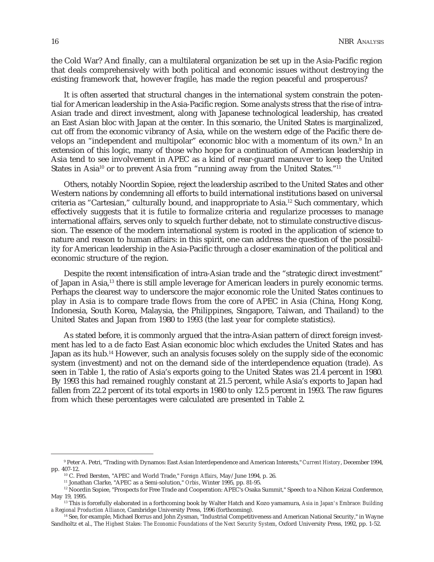the Cold War? And finally, can a multilateral organization be set up in the Asia-Pacific region that deals comprehensively with both political and economic issues without destroying the existing framework that, however fragile, has made the region peaceful and prosperous?

It is often asserted that structural changes in the international system constrain the potential for American leadership in the Asia-Pacific region. Some analysts stress that the rise of intra-Asian trade and direct investment, along with Japanese technological leadership, has created an East Asian bloc with Japan at the center. In this scenario, the United States is marginalized, cut off from the economic vibrancy of Asia, while on the western edge of the Pacific there develops an "independent and multipolar" economic bloc with a momentum of its own.<sup>9</sup> In an extension of this logic, many of those who hope for a continuation of American leadership in Asia tend to see involvement in APEC as a kind of rear-guard maneuver to keep the United States in Asia<sup>10</sup> or to prevent Asia from "running away from the United States."<sup>11</sup>

Others, notably Noordin Sopiee, reject the leadership ascribed to the United States and other Western nations by condemning all efforts to build international institutions based on universal criteria as "Cartesian," culturally bound, and inappropriate to Asia.12 Such commentary, which effectively suggests that it is futile to formalize criteria and regularize processes to manage international affairs, serves only to squelch further debate, not to stimulate constructive discussion. The essence of the modern international system is rooted in the application of science to nature and reason to human affairs: in this spirit, one can address the question of the possibility for American leadership in the Asia-Pacific through a closer examination of the political and economic structure of the region.

Despite the recent intensification of intra-Asian trade and the "strategic direct investment" of Japan in Asia,13 there is still ample leverage for American leaders in purely economic terms. Perhaps the clearest way to underscore the major economic role the United States continues to play in Asia is to compare trade flows from the core of APEC in Asia (China, Hong Kong, Indonesia, South Korea, Malaysia, the Philippines, Singapore, Taiwan, and Thailand) to the United States and Japan from 1980 to 1993 (the last year for complete statistics).

As stated before, it is commonly argued that the intra-Asian pattern of direct foreign investment has led to a de facto East Asian economic bloc which excludes the United States and has Japan as its hub.<sup>14</sup> However, such an analysis focuses solely on the supply side of the economic system (investment) and not on the demand side of the interdependence equation (trade). As seen in Table 1, the ratio of Asia's exports going to the United States was 21.4 percent in 1980. By 1993 this had remained roughly constant at 21.5 percent, while Asia's exports to Japan had fallen from 22.2 percent of its total exports in 1980 to only 12.5 percent in 1993. The raw figures from which these percentages were calculated are presented in Table 2.

<sup>9</sup> Peter A. Petri, "Trading with Dynamos: East Asian Interdependence and American Interests," *Current History*, December 1994, pp. 407-12.

<sup>10</sup> C. Fred Bersten, "APEC and World Trade," *Foreign Affairs*, May/June 1994, p. 26.

<sup>11</sup> Jonathan Clarke, "APEC as a Semi-solution," *Orbis*, Winter 1995, pp. 81-95.

<sup>&</sup>lt;sup>12</sup> Noordin Sopiee, "Prospects for Free Trade and Cooperation: APEC's Osaka Summit," Speech to a Nihon Keizai Conference, May 19, 1995.

<sup>13</sup> This is forcefully elaborated in a forthcoming book by Walter Hatch and Kozo yamamura, *Asia in Japan's Embrace: Building a Regional Production Alliance*, Cambridge University Press, 1996 (forthcoming).

<sup>14</sup> See, for example, Michael Borrus and John Zysman, "Industrial Competitiveness and American National Security," in Wayne Sandholtz et al., The *Highest Stakes: The Economic Foundations of the Next Security System*, Oxford University Press, 1992, pp. 1-52.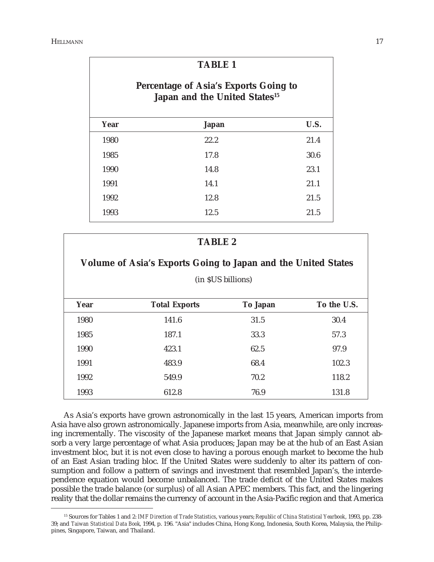# **TABLE 1**

# **Percentage of Asia's Exports Going to** Japan and the United States<sup>15</sup>

| Year | <b>Japan</b> | U.S. |
|------|--------------|------|
| 1980 | 22.2         | 21.4 |
| 1985 | 17.8         | 30.6 |
| 1990 | 14.8         | 23.1 |
| 1991 | 14.1         | 21.1 |
| 1992 | 12.8         | 21.5 |
| 1993 | 12.5         | 21.5 |
|      |              |      |

## **TABLE 2**

# **Volume of Asia's Exports Going to Japan and the United States** (in \$US billions)

| Year | <b>Total Exports</b> | <b>To Japan</b> | To the U.S. |
|------|----------------------|-----------------|-------------|
| 1980 | 141.6                | 31.5            | 30.4        |
| 1985 | 187.1                | 33.3            | 57.3        |
| 1990 | 423.1                | 62.5            | 97.9        |
| 1991 | 483.9                | 68.4            | 102.3       |
| 1992 | 549.9                | 70.2            | 118.2       |
| 1993 | 612.8                | 76.9            | 131.8       |
|      |                      |                 |             |

As Asia's exports have grown astronomically in the last 15 years, American imports from Asia have also grown astronomically. Japanese imports from Asia, meanwhile, are only increasing incrementally. The viscosity of the Japanese market means that Japan simply cannot absorb a very large percentage of what Asia produces; Japan may be at the hub of an East Asian investment bloc, but it is not even close to having a porous enough market to become the hub of an East Asian trading bloc. If the United States were suddenly to alter its pattern of consumption and follow a pattern of savings and investment that resembled Japan's, the interdependence equation would become unbalanced. The trade deficit of the United States makes possible the trade balance (or surplus) of all Asian APEC members. This fact, and the lingering reality that the dollar remains the currency of account in the Asia-Pacific region and that America

<sup>15</sup> Sources for Tables 1 and 2: *IMF Direction of Trade Statistics*, various years; *Republic of China Statistical Yearbook*, 1993, pp. 238- 39; and *Taiwan Statistical Data Book*, 1994, p. 196. "Asia" includes China, Hong Kong, Indonesia, South Korea, Malaysia, the Philippines, Singapore, Taiwan, and Thailand.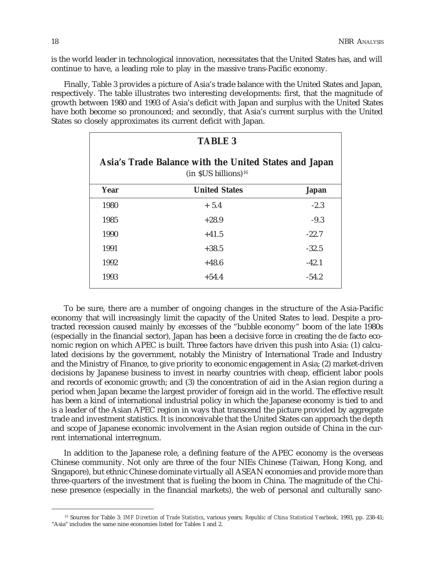is the world leader in technological innovation, necessitates that the United States has, and will continue to have, a leading role to play in the massive trans-Pacific economy.

Finally, Table 3 provides a picture of Asia's trade balance with the United States and Japan, respectively. The table illustrates two interesting developments: first, that the magnitude of growth between 1980 and 1993 of Asia's deficit with Japan and surplus with the United States have both become so pronounced; and secondly, that Asia's current surplus with the United States so closely approximates its current deficit with Japan.

| <b>TABLE 3</b><br>Asia's Trade Balance with the United States and Japan<br>$(in$ SUS billions) <sup>16</sup> |         |         |  |  |
|--------------------------------------------------------------------------------------------------------------|---------|---------|--|--|
|                                                                                                              |         |         |  |  |
| 1980                                                                                                         | $+5.4$  | $-2.3$  |  |  |
| 1985                                                                                                         | $+28.9$ | $-9.3$  |  |  |
| 1990                                                                                                         | $+41.5$ | $-22.7$ |  |  |
| 1991                                                                                                         | $+38.5$ | $-32.5$ |  |  |
| 1992                                                                                                         | $+48.6$ | $-42.1$ |  |  |
| 1993                                                                                                         | $+54.4$ | $-54.2$ |  |  |

To be sure, there are a number of ongoing changes in the structure of the Asia-Pacific economy that will increasingly limit the capacity of the United States to lead. Despite a protracted recession caused mainly by excesses of the "bubble economy" boom of the late 1980s (especially in the financial sector), Japan has been a decisive force in creating the de facto economic region on which APEC is built. Three factors have driven this push into Asia: (1) calculated decisions by the government, notably the Ministry of International Trade and Industry and the Ministry of Finance, to give priority to economic engagement in Asia; (2) market-driven decisions by Japanese business to invest in nearby countries with cheap, efficient labor pools and records of economic growth; and (3) the concentration of aid in the Asian region during a period when Japan became the largest provider of foreign aid in the world. The effective result has been a kind of international industrial policy in which the Japanese economy is tied to and is a leader of the Asian APEC region in ways that transcend the picture provided by aggregate trade and investment statistics. It is inconceivable that the United States can approach the depth and scope of Japanese economic involvement in the Asian region outside of China in the current international interregnum.

In addition to the Japanese role, a defining feature of the APEC economy is the overseas Chinese community. Not only are three of the four NIEs Chinese (Taiwan, Hong Kong, and Singapore), but ethnic Chinese dominate virtually all ASEAN economies and provide more than three-quarters of the investment that is fueling the boom in China. The magnitude of the Chinese presence (especially in the financial markets), the web of personal and culturally sanc-

<sup>15</sup> Sources for Table 3: *IMF Direction of Trade Statistics*, various years; *Republic of China Statistical Yearbook*, 1993, pp. 238-41; "Asia" includes the same nine economies listed for Tables 1 and 2.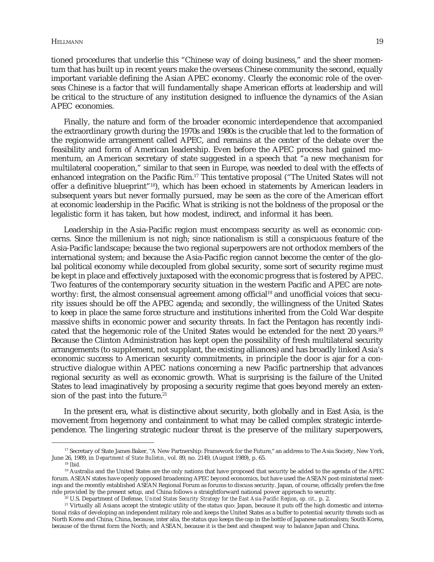tioned procedures that underlie this "Chinese way of doing business," and the sheer momentum that has built up in recent years make the overseas Chinese community the second, equally important variable defining the Asian APEC economy. Clearly the economic role of the overseas Chinese is a factor that will fundamentally shape American efforts at leadership and will be critical to the structure of any institution designed to influence the dynamics of the Asian APEC economies.

Finally, the nature and form of the broader economic interdependence that accompanied the extraordinary growth during the 1970s and 1980s is the crucible that led to the formation of the regionwide arrangement called APEC, and remains at the center of the debate over the feasibility and form of American leadership. Even before the APEC process had gained momentum, an American secretary of state suggested in a speech that "a new mechanism for multilateral cooperation," similar to that seen in Europe, was needed to deal with the effects of enhanced integration on the Pacific Rim.17 This tentative proposal ("The United States will not offer a definitive blueprint"18), which has been echoed in statements by American leaders in subsequent years but never formally pursued, may be seen as the core of the American effort at economic leadership in the Pacific. What is striking is not the boldness of the proposal or the legalistic form it has taken, but how modest, indirect, and informal it has been.

Leadership in the Asia-Pacific region must encompass security as well as economic concerns. Since the millenium is not nigh; since nationalism is still a conspicuous feature of the Asia-Pacific landscape; because the two regional superpowers are not orthodox members of the international system; and because the Asia-Pacific region cannot become the center of the global political economy while decoupled from global security, some sort of security regime must be kept in place and effectively juxtaposed with the economic progress that is fostered by APEC. Two features of the contemporary security situation in the western Pacific and APEC are noteworthy: first, the almost consensual agreement among official<sup>19</sup> and unofficial voices that security issues should be off the APEC agenda; and secondly, the willingness of the United States to keep in place the same force structure and institutions inherited from the Cold War despite massive shifts in economic power and security threats. In fact the Pentagon has recently indicated that the hegemonic role of the United States would be extended for the next 20 years.<sup>20</sup> Because the Clinton Administration has kept open the possibility of fresh multilateral security arrangements (to supplement, not supplant, the existing alliances) and has broadly linked Asia's economic success to American security commitments, in principle the door is ajar for a constructive dialogue within APEC nations concerning a new Pacific partnership that advances regional security as well as economic growth. What is surprising is the failure of the United States to lead imaginatively by proposing a security regime that goes beyond merely an extension of the past into the future.<sup>21</sup>

In the present era, what is distinctive about security, both globally and in East Asia, is the movement from hegemony and containment to what may be called complex strategic interdependence. The lingering strategic nuclear threat is the preserve of the military superpowers,

<sup>&</sup>lt;sup>17</sup> Secretary of State James Baker, "A New Partnership: Framework for the Future," an address to The Asia Society, New York, June 26, 1989, in *Department of State Bulletin*, vol. 89, no. 2149, (August 1989), p. 65.

<sup>18</sup> *Ibid.*

<sup>19</sup> Australia and the United States are the only nations that have proposed that security be added to the agenda of the APEC forum. ASEAN states have openly opposed broadening APEC beyond economics, but have used the ASEAN post-ministerial meetings and the recently established ASEAN Regional Forum as forums to discuss security. Japan, of course, officially prefers the free ride provided by the present setup, and China follows a straightforward national power approach to security.

<sup>20</sup> U.S. Department of Defense, *United States Security Strategy for the East Asia-Pacific Region*, *op. cit.,* p. 2.

<sup>&</sup>lt;sup>21</sup> Virtually all Asians accept the strategic utility of the status quo: Japan, because it puts off the high domestic and international risks of developing an independent military role and keeps the United States as a buffer to potential security threats such as North Korea and China; China, because, inter alia, the status quo keeps the cap in the bottle of Japanese nationalism; South Korea, because of the threat form the North; and ASEAN, because it is the best and cheapest way to balance Japan and China.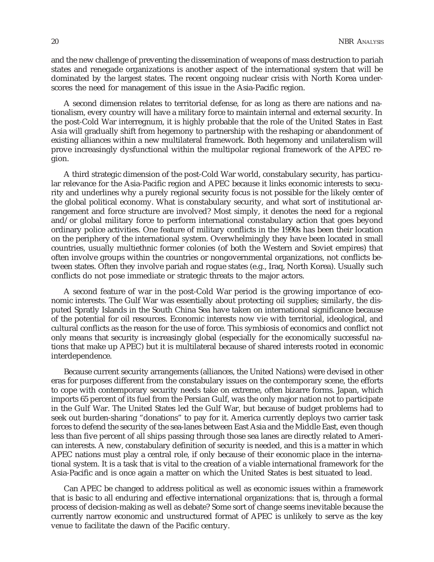and the new challenge of preventing the dissemination of weapons of mass destruction to pariah states and renegade organizations is another aspect of the international system that will be dominated by the largest states. The recent ongoing nuclear crisis with North Korea underscores the need for management of this issue in the Asia-Pacific region.

A second dimension relates to territorial defense, for as long as there are nations and nationalism, every country will have a military force to maintain internal and external security. In the post-Cold War interregnum, it is highly probable that the role of the United States in East Asia will gradually shift from hegemony to partnership with the reshaping or abandonment of existing alliances within a new multilateral framework. Both hegemony and unilateralism will prove increasingly dysfunctional within the multipolar regional framework of the APEC region.

A third strategic dimension of the post-Cold War world, constabulary security, has particular relevance for the Asia-Pacific region and APEC because it links economic interests to security and underlines why a purely regional security focus is not possible for the likely center of the global political economy. What is constabulary security, and what sort of institutional arrangement and force structure are involved? Most simply, it denotes the need for a regional and/or global military force to perform international constabulary action that goes beyond ordinary police activities. One feature of military conflicts in the 1990s has been their location on the periphery of the international system. Overwhelmingly they have been located in small countries, usually multiethnic former colonies (of both the Western and Soviet empires) that often involve groups within the countries or nongovernmental organizations, not conflicts between states. Often they involve pariah and rogue states (e.g., Iraq, North Korea). Usually such conflicts do not pose immediate or strategic threats to the major actors.

A second feature of war in the post-Cold War period is the growing importance of economic interests. The Gulf War was essentially about protecting oil supplies; similarly, the disputed Spratly Islands in the South China Sea have taken on international significance because of the potential for oil resources. Economic interests now vie with territorial, ideological, and cultural conflicts as the reason for the use of force. This symbiosis of economics and conflict not only means that security is increasingly global (especially for the economically successful nations that make up APEC) but it is multilateral because of shared interests rooted in economic interdependence.

Because current security arrangements (alliances, the United Nations) were devised in other eras for purposes different from the constabulary issues on the contemporary scene, the efforts to cope with contemporary security needs take on extreme, often bizarre forms. Japan, which imports 65 percent of its fuel from the Persian Gulf, was the only major nation not to participate in the Gulf War. The United States led the Gulf War, but because of budget problems had to seek out burden-sharing "donations" to pay for it. America currently deploys two carrier task forces to defend the security of the sea-lanes between East Asia and the Middle East, even though less than five percent of all ships passing through those sea lanes are directly related to American interests. A new, constabulary definition of security is needed, and this is a matter in which APEC nations must play a central role, if only because of their economic place in the international system. It is a task that is vital to the creation of a viable international framework for the Asia-Pacific and is once again a matter on which the United States is best situated to lead.

Can APEC be changed to address political as well as economic issues within a framework that is basic to all enduring and effective international organizations: that is, through a formal process of decision-making as well as debate? Some sort of change seems inevitable because the currently narrow economic and unstructured format of APEC is unlikely to serve as the key venue to facilitate the dawn of the Pacific century.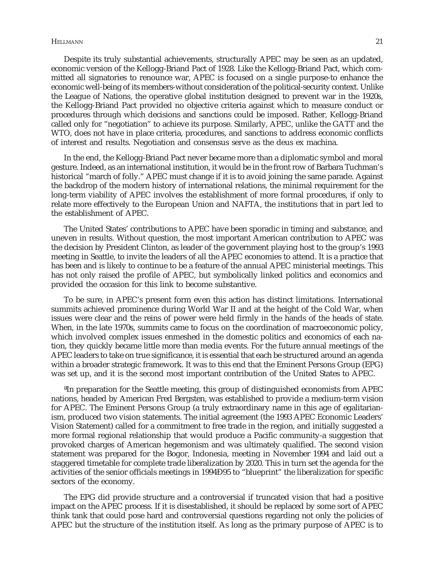#### HELLMANN 21

Despite its truly substantial achievements, structurally APEC may be seen as an updated, economic version of the Kellogg-Briand Pact of 1928. Like the Kellogg-Briand Pact, which committed all signatories to renounce war, APEC is focused on a single purpose-to enhance the economic well-being of its members-without consideration of the political-security context. Unlike the League of Nations, the operative global institution designed to prevent war in the 1920s, the Kellogg-Briand Pact provided no objective criteria against which to measure conduct or procedures through which decisions and sanctions could be imposed. Rather, Kellogg-Briand called only for "negotiation" to achieve its purpose. Similarly, APEC, unlike the GATT and the WTO, does not have in place criteria, procedures, and sanctions to address economic conflicts of interest and results. Negotiation and consensus serve as the deus ex machina.

In the end, the Kellogg-Briand Pact never became more than a diplomatic symbol and moral gesture. Indeed, as an international institution, it would be in the front row of Barbara Tuchman's historical "march of folly." APEC must change if it is to avoid joining the same parade. Against the backdrop of the modern history of international relations, the minimal requirement for the long-term viability of APEC involves the establishment of more formal procedures, if only to relate more effectively to the European Union and NAFTA, the institutions that in part led to the establishment of APEC.

The United States' contributions to APEC have been sporadic in timing and substance, and uneven in results. Without question, the most important American contribution to APEC was the decision by President Clinton, as leader of the government playing host to the group's 1993 meeting in Seattle, to invite the leaders of all the APEC economies to attend. It is a practice that has been and is likely to continue to be a feature of the annual APEC ministerial meetings. This has not only raised the profile of APEC, but symbolically linked politics and economics and provided the occasion for this link to become substantive.

To be sure, in APEC's present form even this action has distinct limitations. International summits achieved prominence during World War II and at the height of the Cold War, when issues were clear and the reins of power were held firmly in the hands of the heads of state. When, in the late 1970s, summits came to focus on the coordination of macroeconomic policy, which involved complex issues enmeshed in the domestic politics and economics of each nation, they quickly became little more than media events. For the future annual meetings of the APEC leaders to take on true significance, it is essential that each be structured around an agenda within a broader strategic framework. It was to this end that the Eminent Persons Group (EPG) was set up, and it is the second most important contribution of the United States to APEC.

ªIn preparation for the Seattle meeting, this group of distinguished economists from APEC nations, headed by American Fred Bergsten, was established to provide a medium-term vision for APEC. The Eminent Persons Group (a truly extraordinary name in this age of egalitarianism, produced two vision statements. The initial agreement (the 1993 APEC Economic Leaders' Vision Statement) called for a commitment to free trade in the region, and initially suggested a more formal regional relationship that would produce a Pacific community-a suggestion that provoked charges of American hegemonism and was ultimately qualified. The second vision statement was prepared for the Bogor, Indonesia, meeting in November 1994 and laid out a staggered timetable for complete trade liberalization by 2020. This in turn set the agenda for the activities of the senior officials meetings in 1994Ð95 to "blueprint" the liberalization for specific sectors of the economy.

The EPG did provide structure and a controversial if truncated vision that had a positive impact on the APEC process. If it is disestablished, it should be replaced by some sort of APEC think tank that could pose hard and controversial questions regarding not only the policies of APEC but the structure of the institution itself. As long as the primary purpose of APEC is to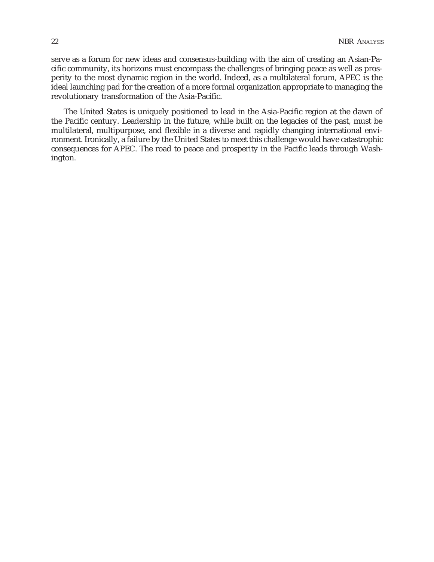serve as a forum for new ideas and consensus-building with the aim of creating an Asian-Pacific community, its horizons must encompass the challenges of bringing peace as well as prosperity to the most dynamic region in the world. Indeed, as a multilateral forum, APEC is the ideal launching pad for the creation of a more formal organization appropriate to managing the revolutionary transformation of the Asia-Pacific.

The United States is uniquely positioned to lead in the Asia-Pacific region at the dawn of the Pacific century. Leadership in the future, while built on the legacies of the past, must be multilateral, multipurpose, and flexible in a diverse and rapidly changing international environment. Ironically, a failure by the United States to meet this challenge would have catastrophic consequences for APEC. The road to peace and prosperity in the Pacific leads through Washington.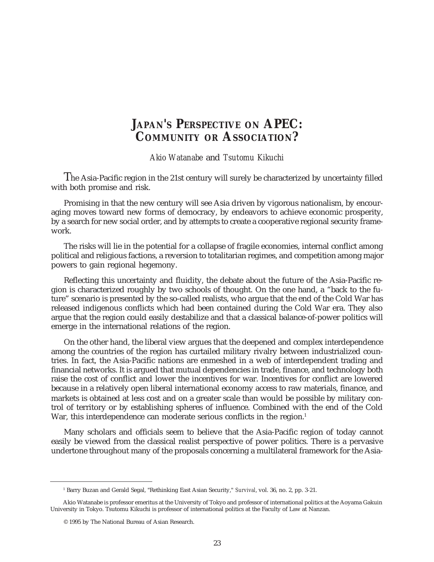# **JAPAN'S PERSPECTIVE ON APEC: COMMUNITY OR ASSOCIATION?**

*Akio Watanabe* and *Tsutomu Kikuchi*

The Asia-Pacific region in the 21st century will surely be characterized by uncertainty filled with both promise and risk.

Promising in that the new century will see Asia driven by vigorous nationalism, by encouraging moves toward new forms of democracy, by endeavors to achieve economic prosperity, by a search for new social order, and by attempts to create a cooperative regional security framework.

The risks will lie in the potential for a collapse of fragile economies, internal conflict among political and religious factions, a reversion to totalitarian regimes, and competition among major powers to gain regional hegemony.

Reflecting this uncertainty and fluidity, the debate about the future of the Asia-Pacific region is characterized roughly by two schools of thought. On the one hand, a "back to the future" scenario is presented by the so-called realists, who argue that the end of the Cold War has released indigenous conflicts which had been contained during the Cold War era. They also argue that the region could easily destabilize and that a classical balance-of-power politics will emerge in the international relations of the region.

On the other hand, the liberal view argues that the deepened and complex interdependence among the countries of the region has curtailed military rivalry between industrialized countries. In fact, the Asia-Pacific nations are enmeshed in a web of interdependent trading and financial networks. It is argued that mutual dependencies in trade, finance, and technology both raise the cost of conflict and lower the incentives for war. Incentives for conflict are lowered because in a relatively open liberal international economy access to raw materials, finance, and markets is obtained at less cost and on a greater scale than would be possible by military control of territory or by establishing spheres of influence. Combined with the end of the Cold War, this interdependence can moderate serious conflicts in the region.<sup>1</sup>

Many scholars and officials seem to believe that the Asia-Pacific region of today cannot easily be viewed from the classical realist perspective of power politics. There is a pervasive undertone throughout many of the proposals concerning a multilateral framework for the Asia-

<sup>1</sup> Barry Buzan and Gerald Segal, "Rethinking East Asian Security," *Survival*, vol. 36, no. 2, pp. 3-21.

Akio Watanabe is professor emeritus at the University of Tokyo and professor of international politics at the Aoyama Gakuin University in Tokyo. Tsutomu Kikuchi is professor of international politics at the Faculty of Law at Nanzan.

<sup>© 1995</sup> by The National Bureau of Asian Research.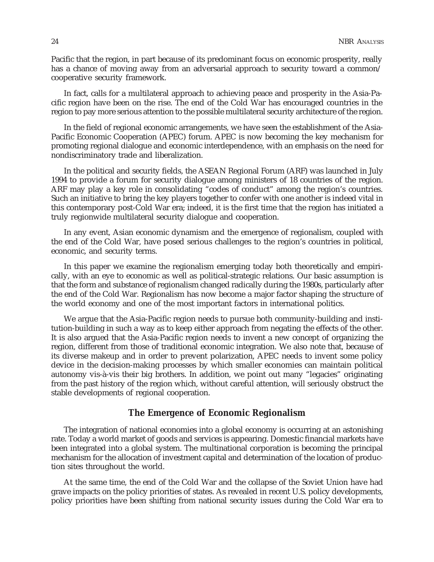Pacific that the region, in part because of its predominant focus on economic prosperity, really has a chance of moving away from an adversarial approach to security toward a common/ cooperative security framework.

In fact, calls for a multilateral approach to achieving peace and prosperity in the Asia-Pacific region have been on the rise. The end of the Cold War has encouraged countries in the region to pay more serious attention to the possible multilateral security architecture of the region.

In the field of regional economic arrangements, we have seen the establishment of the Asia-Pacific Economic Cooperation (APEC) forum. APEC is now becoming the key mechanism for promoting regional dialogue and economic interdependence, with an emphasis on the need for nondiscriminatory trade and liberalization.

In the political and security fields, the ASEAN Regional Forum (ARF) was launched in July 1994 to provide a forum for security dialogue among ministers of 18 countries of the region. ARF may play a key role in consolidating "codes of conduct" among the region's countries. Such an initiative to bring the key players together to confer with one another is indeed vital in this contemporary post-Cold War era; indeed, it is the first time that the region has initiated a truly regionwide multilateral security dialogue and cooperation.

In any event, Asian economic dynamism and the emergence of regionalism, coupled with the end of the Cold War, have posed serious challenges to the region's countries in political, economic, and security terms.

In this paper we examine the regionalism emerging today both theoretically and empirically, with an eye to economic as well as political-strategic relations. Our basic assumption is that the form and substance of regionalism changed radically during the 1980s, particularly after the end of the Cold War. Regionalism has now become a major factor shaping the structure of the world economy and one of the most important factors in international politics.

We argue that the Asia-Pacific region needs to pursue both community-building and institution-building in such a way as to keep either approach from negating the effects of the other. It is also argued that the Asia-Pacific region needs to invent a new concept of organizing the region, different from those of traditional economic integration. We also note that, because of its diverse makeup and in order to prevent polarization, APEC needs to invent some policy device in the decision-making processes by which smaller economies can maintain political autonomy vis-à-vis their big brothers. In addition, we point out many "legacies" originating from the past history of the region which, without careful attention, will seriously obstruct the stable developments of regional cooperation.

#### **The Emergence of Economic Regionalism**

The integration of national economies into a global economy is occurring at an astonishing rate. Today a world market of goods and services is appearing. Domestic financial markets have been integrated into a global system. The multinational corporation is becoming the principal mechanism for the allocation of investment capital and determination of the location of production sites throughout the world.

At the same time, the end of the Cold War and the collapse of the Soviet Union have had grave impacts on the policy priorities of states. As revealed in recent U.S. policy developments, policy priorities have been shifting from national security issues during the Cold War era to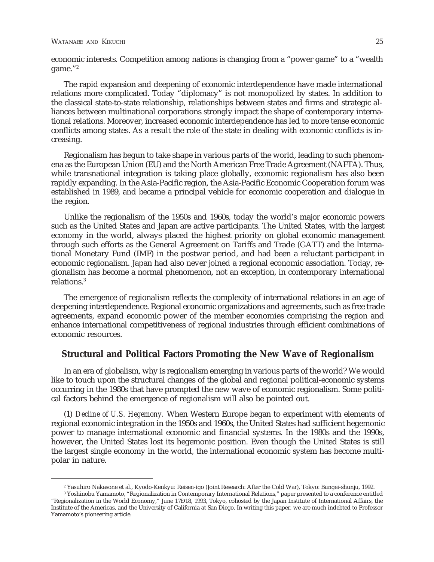economic interests. Competition among nations is changing from a "power game" to a "wealth game."2

The rapid expansion and deepening of economic interdependence have made international relations more complicated. Today "diplomacy" is not monopolized by states. In addition to the classical state-to-state relationship, relationships between states and firms and strategic alliances between multinational corporations strongly impact the shape of contemporary international relations. Moreover, increased economic interdependence has led to more tense economic conflicts among states. As a result the role of the state in dealing with economic conflicts is increasing.

Regionalism has begun to take shape in various parts of the world, leading to such phenomena as the European Union (EU) and the North American Free Trade Agreement (NAFTA). Thus, while transnational integration is taking place globally, economic regionalism has also been rapidly expanding. In the Asia-Pacific region, the Asia-Pacific Economic Cooperation forum was established in 1989, and became a principal vehicle for economic cooperation and dialogue in the region.

Unlike the regionalism of the 1950s and 1960s, today the world's major economic powers such as the United States and Japan are active participants. The United States, with the largest economy in the world, always placed the highest priority on global economic management through such efforts as the General Agreement on Tariffs and Trade (GATT) and the International Monetary Fund (IMF) in the postwar period, and had been a reluctant participant in economic regionalism. Japan had also never joined a regional economic association. Today, regionalism has become a normal phenomenon, not an exception, in contemporary international relations.3

The emergence of regionalism reflects the complexity of international relations in an age of deepening interdependence. Regional economic organizations and agreements, such as free trade agreements, expand economic power of the member economies comprising the region and enhance international competitiveness of regional industries through efficient combinations of economic resources.

#### **Structural and Political Factors Promoting the New Wave of Regionalism**

In an era of globalism, why is regionalism emerging in various parts of the world? We would like to touch upon the structural changes of the global and regional political-economic systems occurring in the 1980s that have prompted the new wave of economic regionalism. Some political factors behind the emergence of regionalism will also be pointed out.

(1) *Decline of U.S. Hegemony.* When Western Europe began to experiment with elements of regional economic integration in the 1950s and 1960s, the United States had sufficient hegemonic power to manage international economic and financial systems. In the 1980s and the 1990s, however, the United States lost its hegemonic position. Even though the United States is still the largest single economy in the world, the international economic system has become multipolar in nature.

<sup>2</sup> Yasuhiro Nakasone et al., Kyodo-Kenkyu: Reisen-igo (Joint Research: After the Cold War), Tokyo: Bungei-shunju, 1992.

<sup>3</sup> Yoshinobu Yamamoto, "Regionalization in Contemporary International Relations," paper presented to a conference entitled "Regionalization in the World Economy," June 17Ð18, 1993, Tokyo, cohosted by the Japan Institute of International Affairs, the Institute of the Americas, and the University of California at San Diego. In writing this paper, we are much indebted to Professor Yamamoto's pioneering article.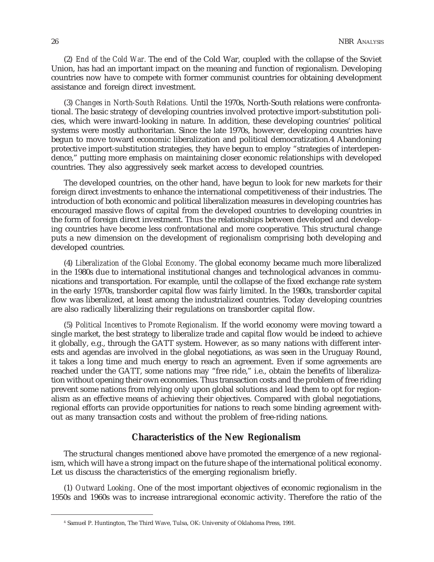(2) *End of the Cold War.* The end of the Cold War, coupled with the collapse of the Soviet Union, has had an important impact on the meaning and function of regionalism. Developing countries now have to compete with former communist countries for obtaining development assistance and foreign direct investment.

(3) *Changes in North-South Relations.* Until the 1970s, North-South relations were confrontational. The basic strategy of developing countries involved protective import-substitution policies, which were inward-looking in nature. In addition, these developing countries' political systems were mostly authoritarian. Since the late 1970s, however, developing countries have begun to move toward economic liberalization and political democratization.4 Abandoning protective import-substitution strategies, they have begun to employ "strategies of interdependence," putting more emphasis on maintaining closer economic relationships with developed countries. They also aggressively seek market access to developed countries.

The developed countries, on the other hand, have begun to look for new markets for their foreign direct investments to enhance the international competitiveness of their industries. The introduction of both economic and political liberalization measures in developing countries has encouraged massive flows of capital from the developed countries to developing countries in the form of foreign direct investment. Thus the relationships between developed and developing countries have become less confrontational and more cooperative. This structural change puts a new dimension on the development of regionalism comprising both developing and developed countries.

(4) *Liberalization of the Global Economy.* The global economy became much more liberalized in the 1980s due to international institutional changes and technological advances in communications and transportation. For example, until the collapse of the fixed exchange rate system in the early 1970s, transborder capital flow was fairly limited. In the 1980s, transborder capital flow was liberalized, at least among the industrialized countries. Today developing countries are also radically liberalizing their regulations on transborder capital flow.

(5) *Political Incentives to Promote Regionalism.* If the world economy were moving toward a single market, the best strategy to liberalize trade and capital flow would be indeed to achieve it globally, e.g., through the GATT system. However, as so many nations with different interests and agendas are involved in the global negotiations, as was seen in the Uruguay Round, it takes a long time and much energy to reach an agreement. Even if some agreements are reached under the GATT, some nations may "free ride," i.e., obtain the benefits of liberalization without opening their own economies. Thus transaction costs and the problem of free riding prevent some nations from relying only upon global solutions and lead them to opt for regionalism as an effective means of achieving their objectives. Compared with global negotiations, regional efforts can provide opportunities for nations to reach some binding agreement without as many transaction costs and without the problem of free-riding nations.

## **Characteristics of the New Regionalism**

The structural changes mentioned above have promoted the emergence of a new regionalism, which will have a strong impact on the future shape of the international political economy. Let us discuss the characteristics of the emerging regionalism briefly.

(1) *Outward Looking*. One of the most important objectives of economic regionalism in the 1950s and 1960s was to increase intraregional economic activity. Therefore the ratio of the

<sup>4</sup> Samuel P. Huntington, The Third Wave, Tulsa, OK: University of Oklahoma Press, 1991.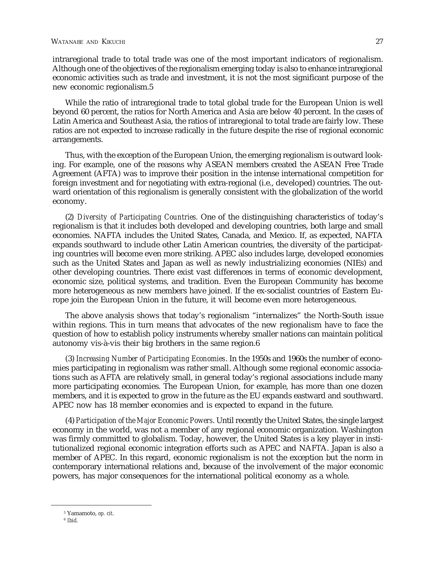intraregional trade to total trade was one of the most important indicators of regionalism. Although one of the objectives of the regionalism emerging today is also to enhance intraregional economic activities such as trade and investment, it is not the most significant purpose of the new economic regionalism.5

While the ratio of intraregional trade to total global trade for the European Union is well beyond 60 percent, the ratios for North America and Asia are below 40 percent. In the cases of Latin America and Southeast Asia, the ratios of intraregional to total trade are fairly low. These ratios are not expected to increase radically in the future despite the rise of regional economic arrangements.

Thus, with the exception of the European Union, the emerging regionalism is outward looking. For example, one of the reasons why ASEAN members created the ASEAN Free Trade Agreement (AFTA) was to improve their position in the intense international competition for foreign investment and for negotiating with extra-regional (i.e., developed) countries. The outward orientation of this regionalism is generally consistent with the globalization of the world economy.

(2) *Diversity of Participating Countries.* One of the distinguishing characteristics of today's regionalism is that it includes both developed and developing countries, both large and small economies. NAFTA includes the United States, Canada, and Mexico. If, as expected, NAFTA expands southward to include other Latin American countries, the diversity of the participating countries will become even more striking. APEC also includes large, developed economies such as the United States and Japan as well as newly industrializing economies (NIEs) and other developing countries. There exist vast differences in terms of economic development, economic size, political systems, and tradition. Even the European Community has become more heterogeneous as new members have joined. If the ex-socialist countries of Eastern Europe join the European Union in the future, it will become even more heterogeneous.

The above analysis shows that today's regionalism "internalizes" the North-South issue within regions. This in turn means that advocates of the new regionalism have to face the question of how to establish policy instruments whereby smaller nations can maintain political autonomy vis-à-vis their big brothers in the same region.6

(3) *Increasing Number of Participating Economies*. In the 1950s and 1960s the number of economies participating in regionalism was rather small. Although some regional economic associations such as AFTA are relatively small, in general today's regional associations include many more participating economies. The European Union, for example, has more than one dozen members, and it is expected to grow in the future as the EU expands eastward and southward. APEC now has 18 member economies and is expected to expand in the future.

(4) *Participation of the Major Economic Powers*. Until recently the United States, the single largest economy in the world, was not a member of any regional economic organization. Washington was firmly committed to globalism. Today, however, the United States is a key player in institutionalized regional economic integration efforts such as APEC and NAFTA. Japan is also a member of APEC. In this regard, economic regionalism is not the exception but the norm in contemporary international relations and, because of the involvement of the major economic powers, has major consequences for the international political economy as a whole.

<sup>5</sup> Yamamoto, *op. cit.*

<sup>6</sup> *Ibid.*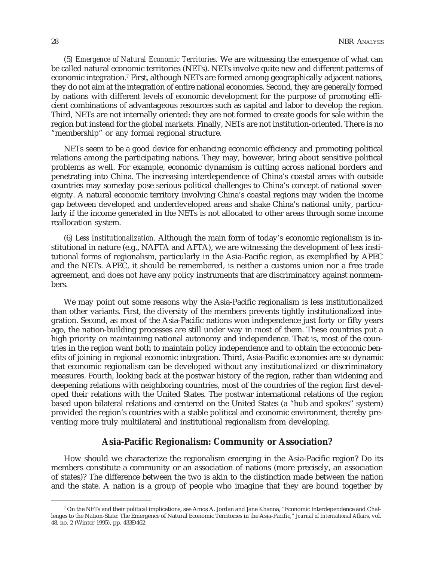(5) *Emergence of Natural Economic Territories.* We are witnessing the emergence of what can be called natural economic territories (NETs). NETs involve quite new and different patterns of economic integration.<sup>7</sup> First, although NETs are formed among geographically adjacent nations, they do not aim at the integration of entire national economies. Second, they are generally formed by nations with different levels of economic development for the purpose of promoting efficient combinations of advantageous resources such as capital and labor to develop the region. Third, NETs are not internally oriented: they are not formed to create goods for sale within the region but instead for the global markets. Finally, NETs are not institution-oriented. There is no "membership" or any formal regional structure.

NETs seem to be a good device for enhancing economic efficiency and promoting political relations among the participating nations. They may, however, bring about sensitive political problems as well. For example, economic dynamism is cutting across national borders and penetrating into China. The increasing interdependence of China's coastal areas with outside countries may someday pose serious political challenges to China's concept of national sovereignty. A natural economic territory involving China's coastal regions may widen the income gap between developed and underdeveloped areas and shake China's national unity, particularly if the income generated in the NETs is not allocated to other areas through some income reallocation system.

(6) *Less Institutionalization.* Although the main form of today's economic regionalism is institutional in nature (e.g., NAFTA and AFTA), we are witnessing the development of less institutional forms of regionalism, particularly in the Asia-Pacific region, as exemplified by APEC and the NETs. APEC, it should be remembered, is neither a customs union nor a free trade agreement, and does not have any policy instruments that are discriminatory against nonmembers.

We may point out some reasons why the Asia-Pacific regionalism is less institutionalized than other variants. First, the diversity of the members prevents tightly institutionalized integration. Second, as most of the Asia-Pacific nations won independence just forty or fifty years ago, the nation-building processes are still under way in most of them. These countries put a high priority on maintaining national autonomy and independence. That is, most of the countries in the region want both to maintain policy independence and to obtain the economic benefits of joining in regional economic integration. Third, Asia-Pacific economies are so dynamic that economic regionalism can be developed without any institutionalized or discriminatory measures. Fourth, looking back at the postwar history of the region, rather than widening and deepening relations with neighboring countries, most of the countries of the region first developed their relations with the United States. The postwar international relations of the region based upon bilateral relations and centered on the United States (a "hub and spokes" system) provided the region's countries with a stable political and economic environment, thereby preventing more truly multilateral and institutional regionalism from developing.

#### **Asia-Pacific Regionalism: Community or Association?**

How should we characterize the regionalism emerging in the Asia-Pacific region? Do its members constitute a community or an association of nations (more precisely, an association of states)? The difference between the two is akin to the distinction made between the nation and the state. A nation is a group of people who imagine that they are bound together by

<sup>7</sup> On the NETs and their political implications, see Amos A. Jordan and Jane Khanna, "Economic Interdependence and Challenges to the Nation-State: The Emergence of Natural Economic Territories in the Asia-Pacific," *Journal of International Affairs,* vol. 48, no. 2 (Winter 1995), pp. 433Ð462.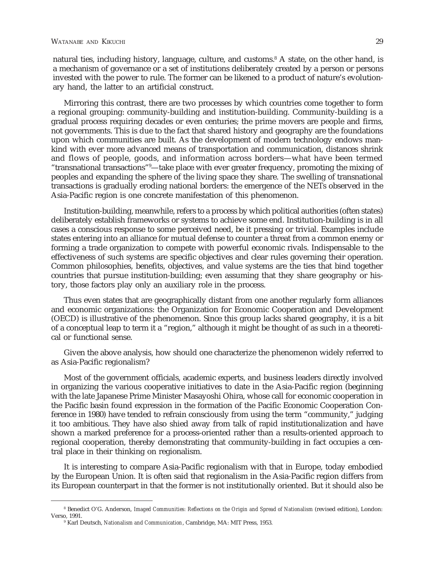natural ties, including history, language, culture, and customs.<sup>8</sup> A state, on the other hand, is a mechanism of governance or a set of institutions deliberately created by a person or persons invested with the power to rule. The former can be likened to a product of nature's evolutionary hand, the latter to an artificial construct.

Mirroring this contrast, there are two processes by which countries come together to form a regional grouping: community-building and institution-building. Community-building is a gradual process requiring decades or even centuries; the prime movers are people and firms, not governments. This is due to the fact that shared history and geography are the foundations upon which communities are built. As the development of modern technology endows mankind with ever more advanced means of transportation and communication, distances shrink and flows of people, goods, and information across borders—what have been termed "transnational transactions"9 —take place with ever greater frequency, promoting the mixing of peoples and expanding the sphere of the living space they share. The swelling of transnational transactions is gradually eroding national borders: the emergence of the NETs observed in the Asia-Pacific region is one concrete manifestation of this phenomenon.

Institution-building, meanwhile, refers to a process by which political authorities (often states) deliberately establish frameworks or systems to achieve some end. Institution-building is in all cases a conscious response to some perceived need, be it pressing or trivial. Examples include states entering into an alliance for mutual defense to counter a threat from a common enemy or forming a trade organization to compete with powerful economic rivals. Indispensable to the effectiveness of such systems are specific objectives and clear rules governing their operation. Common philosophies, benefits, objectives, and value systems are the ties that bind together countries that pursue institution-building; even assuming that they share geography or history, those factors play only an auxiliary role in the process.

Thus even states that are geographically distant from one another regularly form alliances and economic organizations: the Organization for Economic Cooperation and Development (OECD) is illustrative of the phenomenon. Since this group lacks shared geography, it is a bit of a conceptual leap to term it a "region," although it might be thought of as such in a theoretical or functional sense.

Given the above analysis, how should one characterize the phenomenon widely referred to as Asia-Pacific regionalism?

Most of the government officials, academic experts, and business leaders directly involved in organizing the various cooperative initiatives to date in the Asia-Pacific region (beginning with the late Japanese Prime Minister Masayoshi Ohira, whose call for economic cooperation in the Pacific basin found expression in the formation of the Pacific Economic Cooperation Conference in 1980) have tended to refrain consciously from using the term "community," judging it too ambitious. They have also shied away from talk of rapid institutionalization and have shown a marked preference for a process-oriented rather than a results-oriented approach to regional cooperation, thereby demonstrating that community-building in fact occupies a central place in their thinking on regionalism.

It is interesting to compare Asia-Pacific regionalism with that in Europe, today embodied by the European Union. It is often said that regionalism in the Asia-Pacific region differs from its European counterpart in that the former is not institutionally oriented. But it should also be

<sup>8</sup> Benedict O'G. Anderson, *Imaged Communities: Reflections on the Origin and Spread of Nationalism* (revised edition), London: Verso, 1991.

<sup>9</sup> Karl Deutsch, *Nationalism and Communication*, Cambridge, MA: MIT Press, 1953.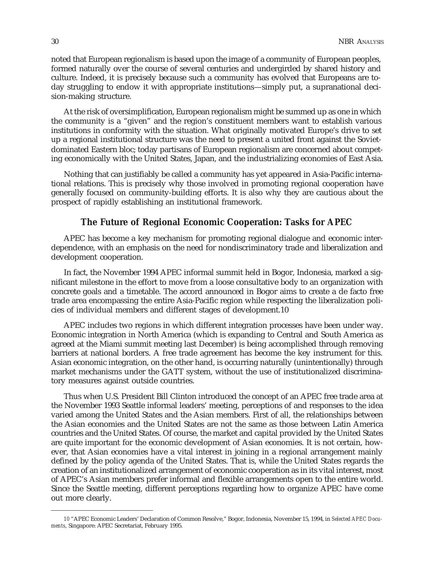noted that European regionalism is based upon the image of a community of European peoples, formed naturally over the course of several centuries and undergirded by shared history and culture. Indeed, it is precisely because such a community has evolved that Europeans are today struggling to endow it with appropriate institutions—simply put, a supranational decision-making structure.

At the risk of oversimplification, European regionalism might be summed up as one in which the community is a "given" and the region's constituent members want to establish various institutions in conformity with the situation. What originally motivated Europe's drive to set up a regional institutional structure was the need to present a united front against the Sovietdominated Eastern bloc; today partisans of European regionalism are concerned about competing economically with the United States, Japan, and the industrializing economies of East Asia.

Nothing that can justifiably be called a community has yet appeared in Asia-Pacific international relations. This is precisely why those involved in promoting regional cooperation have generally focused on community-building efforts. It is also why they are cautious about the prospect of rapidly establishing an institutional framework.

# **The Future of Regional Economic Cooperation: Tasks for APEC**

APEC has become a key mechanism for promoting regional dialogue and economic interdependence, with an emphasis on the need for nondiscriminatory trade and liberalization and development cooperation.

In fact, the November 1994 APEC informal summit held in Bogor, Indonesia, marked a significant milestone in the effort to move from a loose consultative body to an organization with concrete goals and a timetable. The accord announced in Bogor aims to create a de facto free trade area encompassing the entire Asia-Pacific region while respecting the liberalization policies of individual members and different stages of development.10

APEC includes two regions in which different integration processes have been under way. Economic integration in North America (which is expanding to Central and South America as agreed at the Miami summit meeting last December) is being accomplished through removing barriers at national borders. A free trade agreement has become the key instrument for this. Asian economic integration, on the other hand, is occurring naturally (unintentionally) through market mechanisms under the GATT system, without the use of institutionalized discriminatory measures against outside countries.

Thus when U.S. President Bill Clinton introduced the concept of an APEC free trade area at the November 1993 Seattle informal leaders' meeting, perceptions of and responses to the idea varied among the United States and the Asian members. First of all, the relationships between the Asian economies and the United States are not the same as those between Latin America countries and the United States. Of course, the market and capital provided by the United States are quite important for the economic development of Asian economies. It is not certain, however, that Asian economies have a vital interest in joining in a regional arrangement mainly defined by the policy agenda of the United States. That is, while the United States regards the creation of an institutionalized arrangement of economic cooperation as in its vital interest, most of APEC's Asian members prefer informal and flexible arrangements open to the entire world. Since the Seattle meeting, different perceptions regarding how to organize APEC have come out more clearly.

*<sup>10</sup>* "APEC Economic Leaders' Declaration of Common Resolve," Bogor, Indonesia, November 15, 1994, in *Selected APEC Documents*, Singapore: APEC Secretariat, February 1995.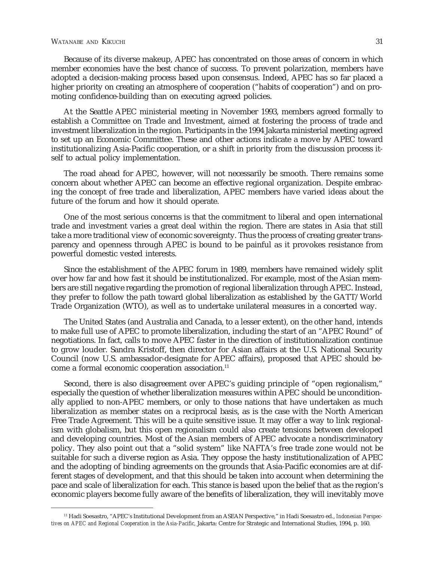#### WATANABE AND KIKUCHI 31

Because of its diverse makeup, APEC has concentrated on those areas of concern in which member economies have the best chance of success. To prevent polarization, members have adopted a decision-making process based upon consensus. Indeed, APEC has so far placed a higher priority on creating an atmosphere of cooperation ("habits of cooperation") and on promoting confidence-building than on executing agreed policies.

At the Seattle APEC ministerial meeting in November 1993, members agreed formally to establish a Committee on Trade and Investment, aimed at fostering the process of trade and investment liberalization in the region. Participants in the 1994 Jakarta ministerial meeting agreed to set up an Economic Committee. These and other actions indicate a move by APEC toward institutionalizing Asia-Pacific cooperation, or a shift in priority from the discussion process itself to actual policy implementation.

The road ahead for APEC, however, will not necessarily be smooth. There remains some concern about whether APEC can become an effective regional organization. Despite embracing the concept of free trade and liberalization, APEC members have varied ideas about the future of the forum and how it should operate.

One of the most serious concerns is that the commitment to liberal and open international trade and investment varies a great deal within the region. There are states in Asia that still take a more traditional view of economic sovereignty. Thus the process of creating greater transparency and openness through APEC is bound to be painful as it provokes resistance from powerful domestic vested interests.

Since the establishment of the APEC forum in 1989, members have remained widely split over how far and how fast it should be institutionalized. For example, most of the Asian members are still negative regarding the promotion of regional liberalization through APEC. Instead, they prefer to follow the path toward global liberalization as established by the GATT/World Trade Organization (WTO), as well as to undertake unilateral measures in a concerted way.

The United States (and Australia and Canada, to a lesser extent), on the other hand, intends to make full use of APEC to promote liberalization, including the start of an "APEC Round" of negotiations. In fact, calls to move APEC faster in the direction of institutionalization continue to grow louder. Sandra Kristoff, then director for Asian affairs at the U.S. National Security Council (now U.S. ambassador-designate for APEC affairs), proposed that APEC should become a formal economic cooperation association.<sup>11</sup>

Second, there is also disagreement over APEC's guiding principle of "open regionalism," especially the question of whether liberalization measures within APEC should be unconditionally applied to non-APEC members, or only to those nations that have undertaken as much liberalization as member states on a reciprocal basis, as is the case with the North American Free Trade Agreement. This will be a quite sensitive issue. It may offer a way to link regionalism with globalism, but this open regionalism could also create tensions between developed and developing countries. Most of the Asian members of APEC advocate a nondiscriminatory policy. They also point out that a "solid system" like NAFTA's free trade zone would not be suitable for such a diverse region as Asia. They oppose the hasty institutionalization of APEC and the adopting of binding agreements on the grounds that Asia-Pacific economies are at different stages of development, and that this should be taken into account when determining the pace and scale of liberalization for each. This stance is based upon the belief that as the region's economic players become fully aware of the benefits of liberalization, they will inevitably move

<sup>11</sup> Hadi Soesastro, "APEC's Institutional Development from an ASEAN Perspective," in Hadi Soesastro ed., *Indonesian Perspectives on APEC and Regional Cooperation in the Asia-Pacific,* Jakarta: Centre for Strategic and International Studies, 1994, p. 160.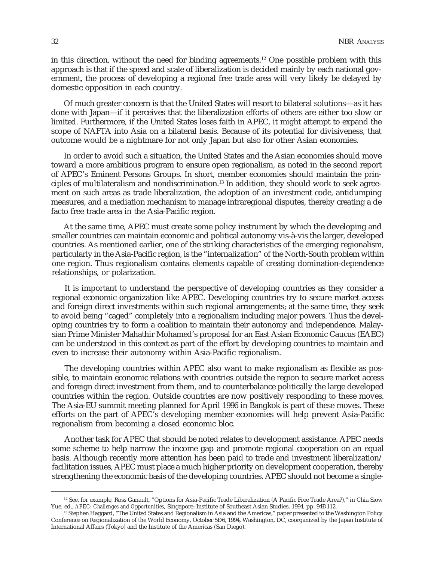in this direction, without the need for binding agreements.12 One possible problem with this approach is that if the speed and scale of liberalization is decided mainly by each national government, the process of developing a regional free trade area will very likely be delayed by domestic opposition in each country.

Of much greater concern is that the United States will resort to bilateral solutions—as it has done with Japan—if it perceives that the liberalization efforts of others are either too slow or limited. Furthermore, if the United States loses faith in APEC, it might attempt to expand the scope of NAFTA into Asia on a bilateral basis. Because of its potential for divisiveness, that outcome would be a nightmare for not only Japan but also for other Asian economies.

In order to avoid such a situation, the United States and the Asian economies should move toward a more ambitious program to ensure open regionalism, as noted in the second report of APEC's Eminent Persons Groups. In short, member economies should maintain the principles of multilateralism and nondiscrimination.<sup>13</sup> In addition, they should work to seek agreement on such areas as trade liberalization, the adoption of an investment code, antidumping measures, and a mediation mechanism to manage intraregional disputes, thereby creating a de facto free trade area in the Asia-Pacific region.

At the same time, APEC must create some policy instrument by which the developing and smaller countries can maintain economic and political autonomy vis-à-vis the larger, developed countries. As mentioned earlier, one of the striking characteristics of the emerging regionalism, particularly in the Asia-Pacific region, is the "internalization" of the North-South problem within one region. Thus regionalism contains elements capable of creating domination-dependence relationships, or polarization.

It is important to understand the perspective of developing countries as they consider a regional economic organization like APEC. Developing countries try to secure market access and foreign direct investments within such regional arrangements; at the same time, they seek to avoid being "caged" completely into a regionalism including major powers. Thus the developing countries try to form a coalition to maintain their autonomy and independence. Malaysian Prime Minister Mahathir Mohamed's proposal for an East Asian Economic Caucus (EAEC) can be understood in this context as part of the effort by developing countries to maintain and even to increase their autonomy within Asia-Pacific regionalism.

The developing countries within APEC also want to make regionalism as flexible as possible, to maintain economic relations with countries outside the region to secure market access and foreign direct investment from them, and to counterbalance politically the large developed countries within the region. Outside countries are now positively responding to these moves. The Asia-EU summit meeting planned for April 1996 in Bangkok is part of these moves. These efforts on the part of APEC's developing member economies will help prevent Asia-Pacific regionalism from becoming a closed economic bloc.

Another task for APEC that should be noted relates to development assistance. APEC needs some scheme to help narrow the income gap and promote regional cooperation on an equal basis. Although recently more attention has been paid to trade and investment liberalization/ facilitation issues, APEC must place a much higher priority on development cooperation, thereby strengthening the economic basis of the developing countries. APEC should not become a single-

<sup>12</sup> See, for example, Ross Ganault, "Options for Asia-Pacific Trade Liberalization (A Pacific Free Trade Area?)," in Chia Siow Yue, ed., *APEC: Challenges and Opportunities,* Singapore: Institute of Southeast Asian Studies, 1994, pp. 94Ð112.

<sup>&</sup>lt;sup>13</sup> Stephen Haggard, "The United States and Regionalism in Asia and the Americas," paper presented to the Washington Policy Conference on Regionalization of the World Economy, October 5Ð6, 1994, Washington, DC, coorganized by the Japan Institute of International Affairs (Tokyo) and the Institute of the Americas (San Diego).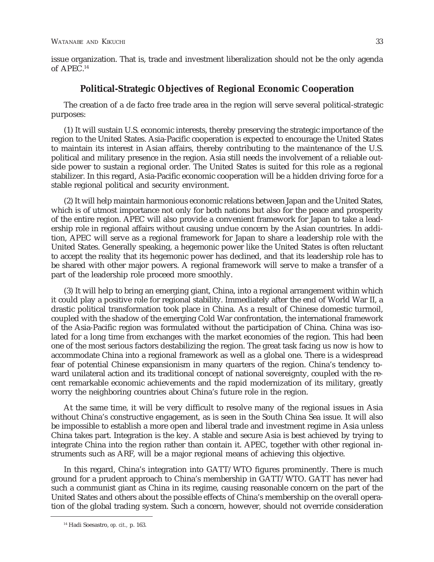issue organization. That is, trade and investment liberalization should not be the only agenda of APEC.14

### **Political-Strategic Objectives of Regional Economic Cooperation**

The creation of a de facto free trade area in the region will serve several political-strategic purposes:

(1) It will sustain U.S. economic interests, thereby preserving the strategic importance of the region to the United States. Asia-Pacific cooperation is expected to encourage the United States to maintain its interest in Asian affairs, thereby contributing to the maintenance of the U.S. political and military presence in the region. Asia still needs the involvement of a reliable outside power to sustain a regional order. The United States is suited for this role as a regional stabilizer. In this regard, Asia-Pacific economic cooperation will be a hidden driving force for a stable regional political and security environment.

(2) It will help maintain harmonious economic relations between Japan and the United States, which is of utmost importance not only for both nations but also for the peace and prosperity of the entire region. APEC will also provide a convenient framework for Japan to take a leadership role in regional affairs without causing undue concern by the Asian countries. In addition, APEC will serve as a regional framework for Japan to share a leadership role with the United States. Generally speaking, a hegemonic power like the United States is often reluctant to accept the reality that its hegemonic power has declined, and that its leadership role has to be shared with other major powers. A regional framework will serve to make a transfer of a part of the leadership role proceed more smoothly.

(3) It will help to bring an emerging giant, China, into a regional arrangement within which it could play a positive role for regional stability. Immediately after the end of World War II, a drastic political transformation took place in China. As a result of Chinese domestic turmoil, coupled with the shadow of the emerging Cold War confrontation, the international framework of the Asia-Pacific region was formulated without the participation of China. China was isolated for a long time from exchanges with the market economies of the region. This had been one of the most serious factors destabilizing the region. The great task facing us now is how to accommodate China into a regional framework as well as a global one. There is a widespread fear of potential Chinese expansionism in many quarters of the region. China's tendency toward unilateral action and its traditional concept of national sovereignty, coupled with the recent remarkable economic achievements and the rapid modernization of its military, greatly worry the neighboring countries about China's future role in the region.

At the same time, it will be very difficult to resolve many of the regional issues in Asia without China's constructive engagement, as is seen in the South China Sea issue. It will also be impossible to establish a more open and liberal trade and investment regime in Asia unless China takes part. Integration is the key. A stable and secure Asia is best achieved by trying to integrate China into the region rather than contain it. APEC, together with other regional instruments such as ARF, will be a major regional means of achieving this objective.

In this regard, China's integration into GATT/WTO figures prominently. There is much ground for a prudent approach to China's membership in GATT/WTO. GATT has never had such a communist giant as China in its regime, causing reasonable concern on the part of the United States and others about the possible effects of China's membership on the overall operation of the global trading system. Such a concern, however, should not override consideration

<sup>14</sup> Hadi Soesastro, *op. cit.,* p. 163.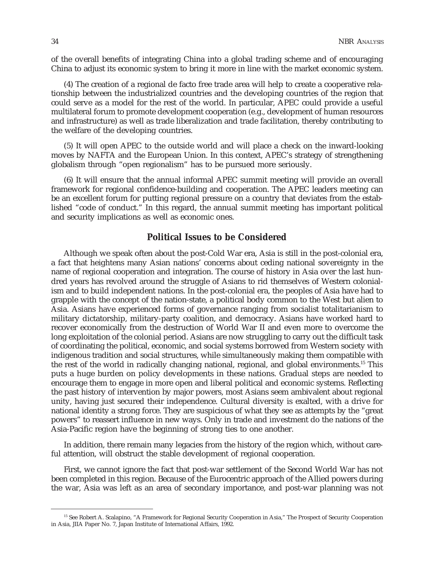of the overall benefits of integrating China into a global trading scheme and of encouraging China to adjust its economic system to bring it more in line with the market economic system.

(4) The creation of a regional de facto free trade area will help to create a cooperative relationship between the industrialized countries and the developing countries of the region that could serve as a model for the rest of the world. In particular, APEC could provide a useful multilateral forum to promote development cooperation (e.g., development of human resources and infrastructure) as well as trade liberalization and trade facilitation, thereby contributing to the welfare of the developing countries.

(5) It will open APEC to the outside world and will place a check on the inward-looking moves by NAFTA and the European Union. In this context, APEC's strategy of strengthening globalism through "open regionalism" has to be pursued more seriously.

(6) It will ensure that the annual informal APEC summit meeting will provide an overall framework for regional confidence-building and cooperation. The APEC leaders meeting can be an excellent forum for putting regional pressure on a country that deviates from the established "code of conduct." In this regard, the annual summit meeting has important political and security implications as well as economic ones.

#### **Political Issues to be Considered**

Although we speak often about the post-Cold War era, Asia is still in the post-colonial era, a fact that heightens many Asian nations' concerns about ceding national sovereignty in the name of regional cooperation and integration. The course of history in Asia over the last hundred years has revolved around the struggle of Asians to rid themselves of Western colonialism and to build independent nations. In the post-colonial era, the peoples of Asia have had to grapple with the concept of the nation-state, a political body common to the West but alien to Asia. Asians have experienced forms of governance ranging from socialist totalitarianism to military dictatorship, military-party coalition, and democracy. Asians have worked hard to recover economically from the destruction of World War II and even more to overcome the long exploitation of the colonial period. Asians are now struggling to carry out the difficult task of coordinating the political, economic, and social systems borrowed from Western society with indigenous tradition and social structures, while simultaneously making them compatible with the rest of the world in radically changing national, regional, and global environments.15 This puts a huge burden on policy developments in these nations. Gradual steps are needed to encourage them to engage in more open and liberal political and economic systems. Reflecting the past history of intervention by major powers, most Asians seem ambivalent about regional unity, having just secured their independence. Cultural diversity is exalted, with a drive for national identity a strong force. They are suspicious of what they see as attempts by the "great powers" to reassert influence in new ways. Only in trade and investment do the nations of the Asia-Pacific region have the beginning of strong ties to one another.

In addition, there remain many legacies from the history of the region which, without careful attention, will obstruct the stable development of regional cooperation.

First, we cannot ignore the fact that post-war settlement of the Second World War has not been completed in this region. Because of the Eurocentric approach of the Allied powers during the war, Asia was left as an area of secondary importance, and post-war planning was not

<sup>&</sup>lt;sup>15</sup> See Robert A. Scalapino, "A Framework for Regional Security Cooperation in Asia," The Prospect of Security Cooperation in Asia, JIIA Paper No. 7, Japan Institute of International Affairs, 1992.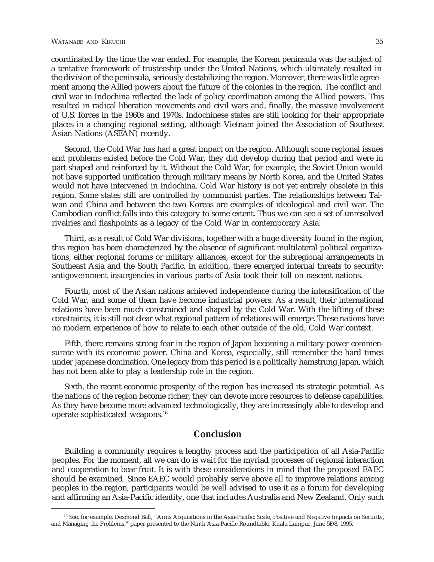#### WATANABE AND KIKUCHI 35

coordinated by the time the war ended. For example, the Korean peninsula was the subject of a tentative framework of trusteeship under the United Nations, which ultimately resulted in the division of the peninsula, seriously destabilizing the region. Moreover, there was little agreement among the Allied powers about the future of the colonies in the region. The conflict and civil war in Indochina reflected the lack of policy coordination among the Allied powers. This resulted in radical liberation movements and civil wars and, finally, the massive involvement of U.S. forces in the 1960s and 1970s. Indochinese states are still looking for their appropriate places in a changing regional setting, although Vietnam joined the Association of Southeast Asian Nations (ASEAN) recently.

Second, the Cold War has had a great impact on the region. Although some regional issues and problems existed before the Cold War, they did develop during that period and were in part shaped and reinforced by it. Without the Cold War, for example, the Soviet Union would not have supported unification through military means by North Korea, and the United States would not have intervened in Indochina. Cold War history is not yet entirely obsolete in this region. Some states still are controlled by communist parties. The relationships between Taiwan and China and between the two Koreas are examples of ideological and civil war. The Cambodian conflict falls into this category to some extent. Thus we can see a set of unresolved rivalries and flashpoints as a legacy of the Cold War in contemporary Asia.

Third, as a result of Cold War divisions, together with a huge diversity found in the region, this region has been characterized by the absence of significant multilateral political organizations, either regional forums or military alliances, except for the subregional arrangements in Southeast Asia and the South Pacific. In addition, there emerged internal threats to security: antigovernment insurgencies in various parts of Asia took their toll on nascent nations.

Fourth, most of the Asian nations achieved independence during the intensification of the Cold War, and some of them have become industrial powers. As a result, their international relations have been much constrained and shaped by the Cold War. With the lifting of these constraints, it is still not clear what regional pattern of relations will emerge. These nations have no modern experience of how to relate to each other outside of the old, Cold War context.

Fifth, there remains strong fear in the region of Japan becoming a military power commensurate with its economic power. China and Korea, especially, still remember the hard times under Japanese domination. One legacy from this period is a politically hamstrung Japan, which has not been able to play a leadership role in the region.

Sixth, the recent economic prosperity of the region has increased its strategic potential. As the nations of the region become richer, they can devote more resources to defense capabilities. As they have become more advanced technologically, they are increasingly able to develop and operate sophisticated weapons.16

## **Conclusion**

Building a community requires a lengthy process and the participation of all Asia-Pacific peoples. For the moment, all we can do is wait for the myriad processes of regional interaction and cooperation to bear fruit. It is with these considerations in mind that the proposed EAEC should be examined. Since EAEC would probably serve above all to improve relations among peoples in the region, participants would be well advised to use it as a forum for developing and affirming an Asia-Pacific identity, one that includes Australia and New Zealand. Only such

<sup>&</sup>lt;sup>16</sup> See, for example, Desmond Ball, "Arms Acquisitions in the Asia-Pacific: Scale, Positive and Negative Impacts on Security, and Managing the Problems," paper presented to the Ninth Asia-Pacific Roundtable, Kuala Lumpur, June 5Ð8, 1995.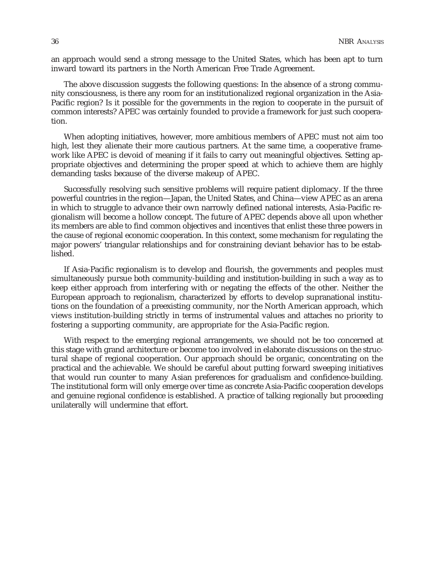an approach would send a strong message to the United States, which has been apt to turn inward toward its partners in the North American Free Trade Agreement.

The above discussion suggests the following questions: In the absence of a strong community consciousness, is there any room for an institutionalized regional organization in the Asia-Pacific region? Is it possible for the governments in the region to cooperate in the pursuit of common interests? APEC was certainly founded to provide a framework for just such cooperation.

When adopting initiatives, however, more ambitious members of APEC must not aim too high, lest they alienate their more cautious partners. At the same time, a cooperative framework like APEC is devoid of meaning if it fails to carry out meaningful objectives. Setting appropriate objectives and determining the proper speed at which to achieve them are highly demanding tasks because of the diverse makeup of APEC.

Successfully resolving such sensitive problems will require patient diplomacy. If the three powerful countries in the region—Japan, the United States, and China—view APEC as an arena in which to struggle to advance their own narrowly defined national interests, Asia-Pacific regionalism will become a hollow concept. The future of APEC depends above all upon whether its members are able to find common objectives and incentives that enlist these three powers in the cause of regional economic cooperation. In this context, some mechanism for regulating the major powers' triangular relationships and for constraining deviant behavior has to be established.

If Asia-Pacific regionalism is to develop and flourish, the governments and peoples must simultaneously pursue both community-building and institution-building in such a way as to keep either approach from interfering with or negating the effects of the other. Neither the European approach to regionalism, characterized by efforts to develop supranational institutions on the foundation of a preexisting community, nor the North American approach, which views institution-building strictly in terms of instrumental values and attaches no priority to fostering a supporting community, are appropriate for the Asia-Pacific region.

With respect to the emerging regional arrangements, we should not be too concerned at this stage with grand architecture or become too involved in elaborate discussions on the structural shape of regional cooperation. Our approach should be organic, concentrating on the practical and the achievable. We should be careful about putting forward sweeping initiatives that would run counter to many Asian preferences for gradualism and confidence-building. The institutional form will only emerge over time as concrete Asia-Pacific cooperation develops and genuine regional confidence is established. A practice of talking regionally but proceeding unilaterally will undermine that effort.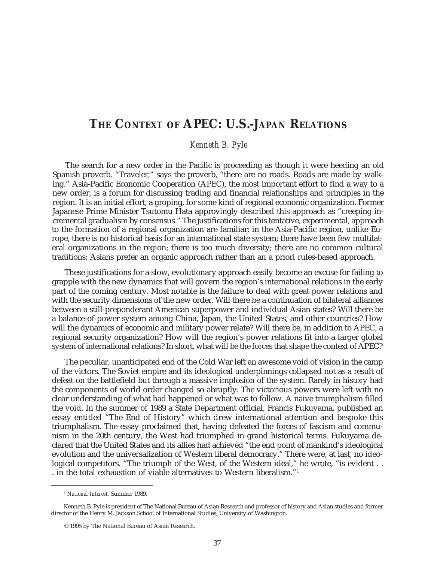# **THE CONTEXT OF APEC: U.S.-JAPAN RELATIONS**

*Kenneth B. Pyle*

The search for a new order in the Pacific is proceeding as though it were heeding an old Spanish proverb. "Traveler," says the proverb, "there are no roads. Roads are made by walking." Asia-Pacific Economic Cooperation (APEC), the most important effort to find a way to a new order, is a forum for discussing trading and financial relationships and principles in the region. It is an initial effort, a groping, for some kind of regional economic organization. Former Japanese Prime Minister Tsutomu Hata approvingly described this approach as "creeping incremental gradualism by consensus." The justifications for this tentative, experimental, approach to the formation of a regional organization are familiar: in the Asia-Pacific region, unlike Europe, there is no historical basis for an international state system; there have been few multilateral organizations in the region; there is too much diversity; there are no common cultural traditions; Asians prefer an organic approach rather than an a priori rules-based approach.

These justifications for a slow, evolutionary approach easily become an excuse for failing to grapple with the new dynamics that will govern the region's international relations in the early part of the coming century. Most notable is the failure to deal with great power relations and with the security dimensions of the new order. Will there be a continuation of bilateral alliances between a still-preponderant American superpower and individual Asian states? Will there be a balance-of-power system among China, Japan, the United States, and other countries? How will the dynamics of economic and military power relate? Will there be, in addition to APEC, a regional security organization? How will the region's power relations fit into a larger global system of international relations? In short, what will be the forces that shape the context of APEC?

The peculiar, unanticipated end of the Cold War left an awesome void of vision in the camp of the victors. The Soviet empire and its ideological underpinnings collapsed not as a result of defeat on the battlefield but through a massive implosion of the system. Rarely in history had the components of world order changed so abruptly. The victorious powers were left with no clear understanding of what had happened or what was to follow. A naive triumphalism filled the void. In the summer of 1989 a State Department official, Francis Fukuyama, published an essay entitled "The End of History" which drew international attention and bespoke this triumphalism. The essay proclaimed that, having defeated the forces of fascism and communism in the 20th century, the West had triumphed in grand historical terms. Fukuyama declared that the United States and its allies had achieved "the end point of mankind's ideological evolution and the universalization of Western liberal democracy." There were, at last, no ideological competitors. "The triumph of the West, of the Western ideal," he wrote, "is evident . . . in the total exhaustion of viable alternatives to Western liberalism."1

<sup>1</sup> *National Interest,* Summer 1989.

Kenneth B. Pyle is president of The National Bureau of Asian Research and professor of history and Asian studies and former director of the Henry M. Jackson School of International Studies, University of Washington.

<sup>© 1995</sup> by The National Bureau of Asian Research.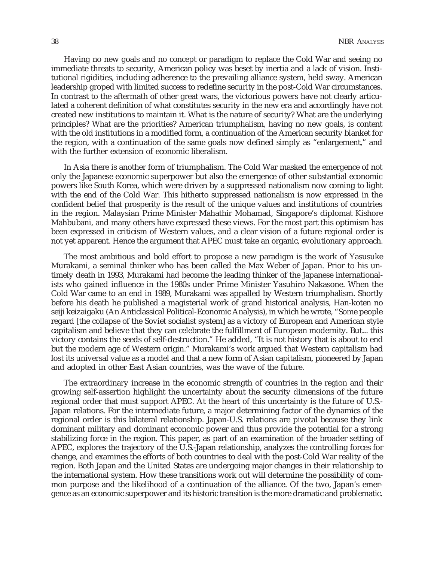Having no new goals and no concept or paradigm to replace the Cold War and seeing no immediate threats to security, American policy was beset by inertia and a lack of vision. Institutional rigidities, including adherence to the prevailing alliance system, held sway. American leadership groped with limited success to redefine security in the post-Cold War circumstances. In contrast to the aftermath of other great wars, the victorious powers have not clearly articulated a coherent definition of what constitutes security in the new era and accordingly have not created new institutions to maintain it. What is the nature of security? What are the underlying principles? What are the priorities? American triumphalism, having no new goals, is content with the old institutions in a modified form, a continuation of the American security blanket for the region, with a continuation of the same goals now defined simply as "enlargement," and with the further extension of economic liberalism.

In Asia there is another form of triumphalism. The Cold War masked the emergence of not only the Japanese economic superpower but also the emergence of other substantial economic powers like South Korea, which were driven by a suppressed nationalism now coming to light with the end of the Cold War. This hitherto suppressed nationalism is now expressed in the confident belief that prosperity is the result of the unique values and institutions of countries in the region. Malaysian Prime Minister Mahathir Mohamad, Singapore's diplomat Kishore Mahbubani, and many others have expressed these views. For the most part this optimism has been expressed in criticism of Western values, and a clear vision of a future regional order is not yet apparent. Hence the argument that APEC must take an organic, evolutionary approach.

The most ambitious and bold effort to propose a new paradigm is the work of Yasusuke Murakami, a seminal thinker who has been called the Max Weber of Japan. Prior to his untimely death in 1993, Murakami had become the leading thinker of the Japanese internationalists who gained influence in the 1980s under Prime Minister Yasuhiro Nakasone. When the Cold War came to an end in 1989, Murakami was appalled by Western triumphalism. Shortly before his death he published a magisterial work of grand historical analysis, Han-koten no seiji keizaigaku (An Anticlassical Political-Economic Analysis), in which he wrote, "Some people regard [the collapse of the Soviet socialist system] as a victory of European and American style capitalism and believe that they can celebrate the fulfillment of European modernity. But... this victory contains the seeds of self-destruction." He added, "It is not history that is about to end but the modern age of Western origin." Murakami's work argued that Western capitalism had lost its universal value as a model and that a new form of Asian capitalism, pioneered by Japan and adopted in other East Asian countries, was the wave of the future.

The extraordinary increase in the economic strength of countries in the region and their growing self-assertion highlight the uncertainty about the security dimensions of the future regional order that must support APEC. At the heart of this uncertainty is the future of U.S.- Japan relations. For the intermediate future, a major determining factor of the dynamics of the regional order is this bilateral relationship. Japan-U.S. relations are pivotal because they link dominant military and dominant economic power and thus provide the potential for a strong stabilizing force in the region. This paper, as part of an examination of the broader setting of APEC, explores the trajectory of the U.S.-Japan relationship, analyzes the controlling forces for change, and examines the efforts of both countries to deal with the post-Cold War reality of the region. Both Japan and the United States are undergoing major changes in their relationship to the international system. How these transitions work out will determine the possibility of common purpose and the likelihood of a continuation of the alliance. Of the two, Japan's emergence as an economic superpower and its historic transition is the more dramatic and problematic.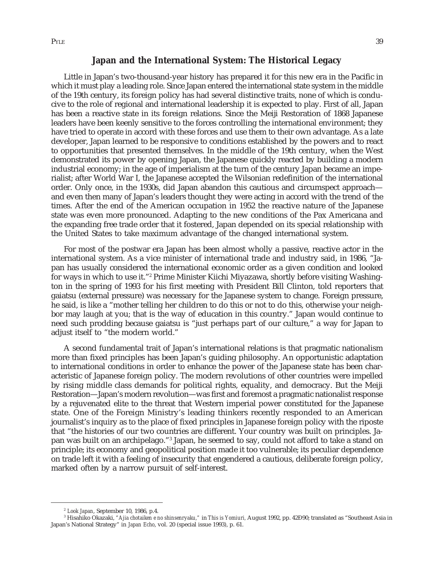#### **Japan and the International System: The Historical Legacy**

Little in Japan's two-thousand-year history has prepared it for this new era in the Pacific in which it must play a leading role. Since Japan entered the international state system in the middle of the 19th century, its foreign policy has had several distinctive traits, none of which is conducive to the role of regional and international leadership it is expected to play. First of all, Japan has been a reactive state in its foreign relations. Since the Meiji Restoration of 1868 Japanese leaders have been keenly sensitive to the forces controlling the international environment; they have tried to operate in accord with these forces and use them to their own advantage. As a late developer, Japan learned to be responsive to conditions established by the powers and to react to opportunities that presented themselves. In the middle of the 19th century, when the West demonstrated its power by opening Japan, the Japanese quickly reacted by building a modern industrial economy; in the age of imperialism at the turn of the century Japan became an imperialist; after World War I, the Japanese accepted the Wilsonian redefinition of the international order. Only once, in the 1930s, did Japan abandon this cautious and circumspect approach and even then many of Japan's leaders thought they were acting in accord with the trend of the times. After the end of the American occupation in 1952 the reactive nature of the Japanese state was even more pronounced. Adapting to the new conditions of the Pax Americana and the expanding free trade order that it fostered, Japan depended on its special relationship with the United States to take maximum advantage of the changed international system.

For most of the postwar era Japan has been almost wholly a passive, reactive actor in the international system. As a vice minister of international trade and industry said, in 1986, "Japan has usually considered the international economic order as a given condition and looked for ways in which to use it."2 Prime Minister Kiichi Miyazawa, shortly before visiting Washington in the spring of 1993 for his first meeting with President Bill Clinton, told reporters that gaiatsu (external pressure) was necessary for the Japanese system to change. Foreign pressure, he said, is like a "mother telling her children to do this or not to do this, otherwise your neighbor may laugh at you; that is the way of education in this country." Japan would continue to need such prodding because gaiatsu is "just perhaps part of our culture," a way for Japan to adjust itself to "the modern world."

A second fundamental trait of Japan's international relations is that pragmatic nationalism more than fixed principles has been Japan's guiding philosophy. An opportunistic adaptation to international conditions in order to enhance the power of the Japanese state has been characteristic of Japanese foreign policy. The modern revolutions of other countries were impelled by rising middle class demands for political rights, equality, and democracy. But the Meiji Restoration—Japan's modern revolution—was first and foremost a pragmatic nationalist response by a rejuvenated elite to the threat that Western imperial power constituted for the Japanese state. One of the Foreign Ministry's leading thinkers recently responded to an American journalist's inquiry as to the place of fixed principles in Japanese foreign policy with the riposte that "the histories of our two countries are different. Your country was built on principles. Japan was built on an archipelago."<sup>3</sup> Japan, he seemed to say, could not afford to take a stand on principle; its economy and geopolitical position made it too vulnerable; its peculiar dependence on trade left it with a feeling of insecurity that engendered a cautious, deliberate foreign policy, marked often by a narrow pursuit of self-interest.

<sup>2</sup> *Look Japan*, September 10, 1986, p.4.

<sup>3</sup> Hisahiko Okazaki, *"Ajia chotaiken e no shinsenryaku,"* in *This is Yomiuri,* August 1992, pp. 42Ð90; translated as "Southeast Asia in Japan's National Strategy" in *Japan Echo*, vol. 20 (special issue 1993), p. 61.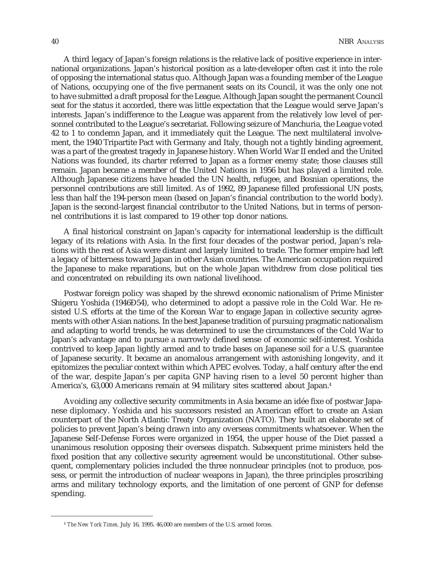A third legacy of Japan's foreign relations is the relative lack of positive experience in international organizations. Japan's historical position as a late-developer often cast it into the role of opposing the international status quo. Although Japan was a founding member of the League of Nations, occupying one of the five permanent seats on its Council, it was the only one not to have submitted a draft proposal for the League. Although Japan sought the permanent Council seat for the status it accorded, there was little expectation that the League would serve Japan's interests. Japan's indifference to the League was apparent from the relatively low level of personnel contributed to the League's secretariat. Following seizure of Manchuria, the League voted 42 to 1 to condemn Japan, and it immediately quit the League. The next multilateral involvement, the 1940 Tripartite Pact with Germany and Italy, though not a tightly binding agreement, was a part of the greatest tragedy in Japanese history. When World War II ended and the United Nations was founded, its charter referred to Japan as a former enemy state; those clauses still remain. Japan became a member of the United Nations in 1956 but has played a limited role. Although Japanese citizens have headed the UN health, refugee, and Bosnian operations, the personnel contributions are still limited. As of 1992, 89 Japanese filled professional UN posts, less than half the 194-person mean (based on Japan's financial contribution to the world body). Japan is the second-largest financial contributor to the United Nations, but in terms of personnel contributions it is last compared to 19 other top donor nations.

A final historical constraint on Japan's capacity for international leadership is the difficult legacy of its relations with Asia. In the first four decades of the postwar period, Japan's relations with the rest of Asia were distant and largely limited to trade. The former empire had left a legacy of bitterness toward Japan in other Asian countries. The American occupation required the Japanese to make reparations, but on the whole Japan withdrew from close political ties and concentrated on rebuilding its own national livelihood.

Postwar foreign policy was shaped by the shrewd economic nationalism of Prime Minister Shigeru Yoshida (1946Ð54), who determined to adopt a passive role in the Cold War. He resisted U.S. efforts at the time of the Korean War to engage Japan in collective security agreements with other Asian nations. In the best Japanese tradition of pursuing pragmatic nationalism and adapting to world trends, he was determined to use the circumstances of the Cold War to Japan's advantage and to pursue a narrowly defined sense of economic self-interest. Yoshida contrived to keep Japan lightly armed and to trade bases on Japanese soil for a U.S. guarantee of Japanese security. It became an anomalous arrangement with astonishing longevity, and it epitomizes the peculiar context within which APEC evolves. Today, a half century after the end of the war, despite Japan's per capita GNP having risen to a level 50 percent higher than America's, 63,000 Americans remain at 94 military sites scattered about Japan.4

Avoiding any collective security commitments in Asia became an idée fixe of postwar Japanese diplomacy. Yoshida and his successors resisted an American effort to create an Asian counterpart of the North Atlantic Treaty Organization (NATO). They built an elaborate set of policies to prevent Japan's being drawn into any overseas commitments whatsoever. When the Japanese Self-Defense Forces were organized in 1954, the upper house of the Diet passed a unanimous resolution opposing their overseas dispatch. Subsequent prime ministers held the fixed position that any collective security agreement would be unconstitutional. Other subsequent, complementary policies included the three nonnuclear principles (not to produce, possess, or permit the introduction of nuclear weapons in Japan), the three principles proscribing arms and military technology exports, and the limitation of one percent of GNP for defense spending.

<sup>4</sup> *The New York Times,* July 16, 1995. 46,000 are members of the U.S. armed forces.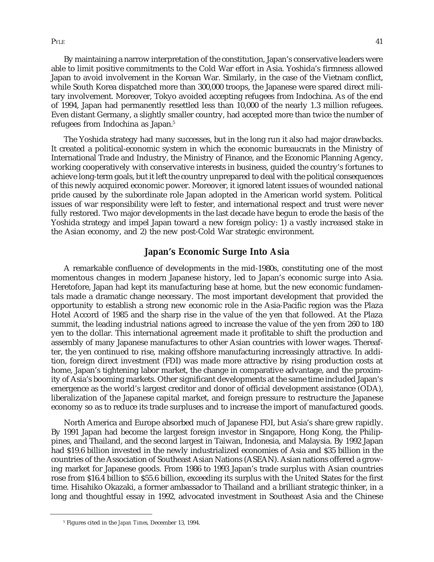By maintaining a narrow interpretation of the constitution, Japan's conservative leaders were able to limit positive commitments to the Cold War effort in Asia. Yoshida's firmness allowed Japan to avoid involvement in the Korean War. Similarly, in the case of the Vietnam conflict, while South Korea dispatched more than 300,000 troops, the Japanese were spared direct military involvement. Moreover, Tokyo avoided accepting refugees from Indochina. As of the end of 1994, Japan had permanently resettled less than 10,000 of the nearly 1.3 million refugees. Even distant Germany, a slightly smaller country, had accepted more than twice the number of refugees from Indochina as Japan.5

The Yoshida strategy had many successes, but in the long run it also had major drawbacks. It created a political-economic system in which the economic bureaucrats in the Ministry of International Trade and Industry, the Ministry of Finance, and the Economic Planning Agency, working cooperatively with conservative interests in business, guided the country's fortunes to achieve long-term goals, but it left the country unprepared to deal with the political consequences of this newly acquired economic power. Moreover, it ignored latent issues of wounded national pride caused by the subordinate role Japan adopted in the American world system. Political issues of war responsibility were left to fester, and international respect and trust were never fully restored. Two major developments in the last decade have begun to erode the basis of the Yoshida strategy and impel Japan toward a new foreign policy: 1) a vastly increased stake in the Asian economy, and 2) the new post-Cold War strategic environment.

#### **Japan's Economic Surge Into Asia**

A remarkable confluence of developments in the mid-1980s, constituting one of the most momentous changes in modern Japanese history, led to Japan's economic surge into Asia. Heretofore, Japan had kept its manufacturing base at home, but the new economic fundamentals made a dramatic change necessary. The most important development that provided the opportunity to establish a strong new economic role in the Asia-Pacific region was the Plaza Hotel Accord of 1985 and the sharp rise in the value of the yen that followed. At the Plaza summit, the leading industrial nations agreed to increase the value of the yen from 260 to 180 yen to the dollar. This international agreement made it profitable to shift the production and assembly of many Japanese manufactures to other Asian countries with lower wages. Thereafter, the yen continued to rise, making offshore manufacturing increasingly attractive. In addition, foreign direct investment (FDI) was made more attractive by rising production costs at home, Japan's tightening labor market, the change in comparative advantage, and the proximity of Asia's booming markets. Other significant developments at the same time included Japan's emergence as the world's largest creditor and donor of official development assistance (ODA), liberalization of the Japanese capital market, and foreign pressure to restructure the Japanese economy so as to reduce its trade surpluses and to increase the import of manufactured goods.

North America and Europe absorbed much of Japanese FDI, but Asia's share grew rapidly. By 1991 Japan had become the largest foreign investor in Singapore, Hong Kong, the Philippines, and Thailand, and the second largest in Taiwan, Indonesia, and Malaysia. By 1992 Japan had \$19.6 billion invested in the newly industrialized economies of Asia and \$35 billion in the countries of the Association of Southeast Asian Nations (ASEAN). Asian nations offered a growing market for Japanese goods. From 1986 to 1993 Japan's trade surplus with Asian countries rose from \$16.4 billion to \$55.6 billion, exceeding its surplus with the United States for the first time. Hisahiko Okazaki, a former ambassador to Thailand and a brilliant strategic thinker, in a long and thoughtful essay in 1992, advocated investment in Southeast Asia and the Chinese

<sup>5</sup> Figures cited in the *Japan Times*, December 13, 1994.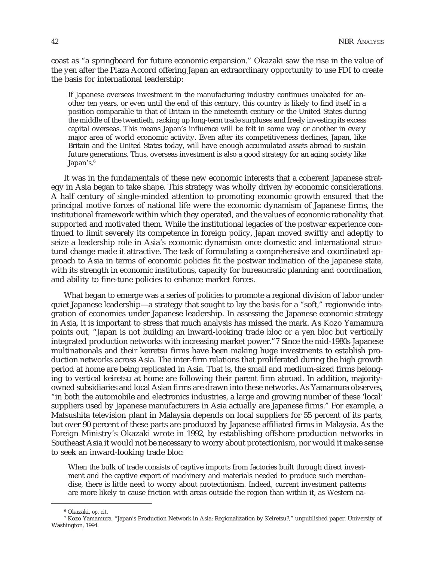coast as "a springboard for future economic expansion." Okazaki saw the rise in the value of the yen after the Plaza Accord offering Japan an extraordinary opportunity to use FDI to create the basis for international leadership:

If Japanese overseas investment in the manufacturing industry continues unabated for another ten years, or even until the end of this century, this country is likely to find itself in a position comparable to that of Britain in the nineteenth century or the United States during the middle of the twentieth, racking up long-term trade surpluses and freely investing its excess capital overseas. This means Japan's influence will be felt in some way or another in every major area of world economic activity. Even after its competitiveness declines, Japan, like Britain and the United States today, will have enough accumulated assets abroad to sustain future generations. Thus, overseas investment is also a good strategy for an aging society like Japan's.<sup>6</sup>

It was in the fundamentals of these new economic interests that a coherent Japanese strategy in Asia began to take shape. This strategy was wholly driven by economic considerations. A half century of single-minded attention to promoting economic growth ensured that the principal motive forces of national life were the economic dynamism of Japanese firms, the institutional framework within which they operated, and the values of economic rationality that supported and motivated them. While the institutional legacies of the postwar experience continued to limit severely its competence in foreign policy, Japan moved swiftly and adeptly to seize a leadership role in Asia's economic dynamism once domestic and international structural change made it attractive. The task of formulating a comprehensive and coordinated approach to Asia in terms of economic policies fit the postwar inclination of the Japanese state, with its strength in economic institutions, capacity for bureaucratic planning and coordination, and ability to fine-tune policies to enhance market forces.

What began to emerge was a series of policies to promote a regional division of labor under quiet Japanese leadership—a strategy that sought to lay the basis for a "soft," regionwide integration of economies under Japanese leadership. In assessing the Japanese economic strategy in Asia, it is important to stress that much analysis has missed the mark. As Kozo Yamamura points out, "Japan is not building an inward-looking trade bloc or a yen bloc but vertically integrated production networks with increasing market power."7 Since the mid-1980s Japanese multinationals and their keiretsu firms have been making huge investments to establish production networks across Asia. The inter-firm relations that proliferated during the high growth period at home are being replicated in Asia. That is, the small and medium-sized firms belonging to vertical keiretsu at home are following their parent firm abroad. In addition, majorityowned subsidiaries and local Asian firms are drawn into these networks. As Yamamura observes, "in both the automobile and electronics industries, a large and growing number of these 'local' suppliers used by Japanese manufacturers in Asia actually are Japanese firms." For example, a Matsushita television plant in Malaysia depends on local suppliers for 55 percent of its parts, but over 90 percent of these parts are produced by Japanese affiliated firms in Malaysia. As the Foreign Ministry's Okazaki wrote in 1992, by establishing offshore production networks in Southeast Asia it would not be necessary to worry about protectionism, nor would it make sense to seek an inward-looking trade bloc:

When the bulk of trade consists of captive imports from factories built through direct investment and the captive export of machinery and materials needed to produce such merchandise, there is little need to worry about protectionism. Indeed, current investment patterns are more likely to cause friction with areas outside the region than within it, as Western na-

<sup>6</sup> Okazaki, *op. cit.*

<sup>7</sup> Kozo Yamamura, "Japan's Production Network in Asia: Regionalization by Keiretsu?," unpublished paper, University of Washington, 1994.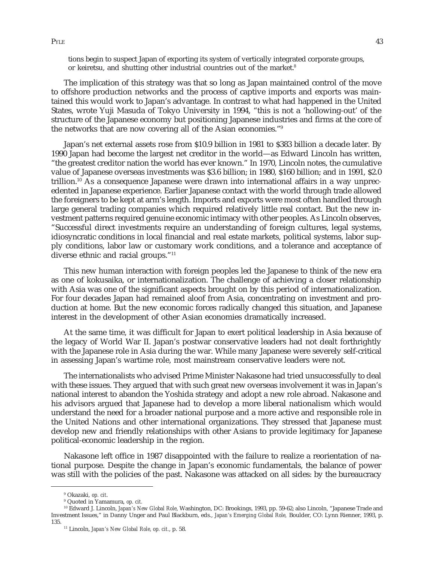tions begin to suspect Japan of exporting its system of vertically integrated corporate groups, or keiretsu, and shutting other industrial countries out of the market.<sup>8</sup>

The implication of this strategy was that so long as Japan maintained control of the move to offshore production networks and the process of captive imports and exports was maintained this would work to Japan's advantage. In contrast to what had happened in the United States, wrote Yuji Masuda of Tokyo University in 1994, "this is not a 'hollowing-out' of the structure of the Japanese economy but positioning Japanese industries and firms at the core of the networks that are now covering all of the Asian economies."9

Japan's net external assets rose from \$10.9 billion in 1981 to \$383 billion a decade later. By 1990 Japan had become the largest net creditor in the world—as Edward Lincoln has written, "the greatest creditor nation the world has ever known." In 1970, Lincoln notes, the cumulative value of Japanese overseas investments was \$3.6 billion; in 1980, \$160 billion; and in 1991, \$2.0 trillion.10 As a consequence Japanese were drawn into international affairs in a way unprecedented in Japanese experience. Earlier Japanese contact with the world through trade allowed the foreigners to be kept at arm's length. Imports and exports were most often handled through large general trading companies which required relatively little real contact. But the new investment patterns required genuine economic intimacy with other peoples. As Lincoln observes, "Successful direct investments require an understanding of foreign cultures, legal systems, idiosyncratic conditions in local financial and real estate markets, political systems, labor supply conditions, labor law or customary work conditions, and a tolerance and acceptance of diverse ethnic and racial groups."11

This new human interaction with foreign peoples led the Japanese to think of the new era as one of kokusaika, or internationalization. The challenge of achieving a closer relationship with Asia was one of the significant aspects brought on by this period of internationalization. For four decades Japan had remained aloof from Asia, concentrating on investment and production at home. But the new economic forces radically changed this situation, and Japanese interest in the development of other Asian economies dramatically increased.

At the same time, it was difficult for Japan to exert political leadership in Asia because of the legacy of World War II. Japan's postwar conservative leaders had not dealt forthrightly with the Japanese role in Asia during the war. While many Japanese were severely self-critical in assessing Japan's wartime role, most mainstream conservative leaders were not.

The internationalists who advised Prime Minister Nakasone had tried unsuccessfully to deal with these issues. They argued that with such great new overseas involvement it was in Japan's national interest to abandon the Yoshida strategy and adopt a new role abroad. Nakasone and his advisors argued that Japanese had to develop a more liberal nationalism which would understand the need for a broader national purpose and a more active and responsible role in the United Nations and other international organizations. They stressed that Japanese must develop new and friendly relationships with other Asians to provide legitimacy for Japanese political-economic leadership in the region.

Nakasone left office in 1987 disappointed with the failure to realize a reorientation of national purpose. Despite the change in Japan's economic fundamentals, the balance of power was still with the policies of the past. Nakasone was attacked on all sides: by the bureaucracy

#### P<sub>YLE</sub> 43

<sup>9</sup> Okazaki, *op. cit*.

<sup>9</sup> Quoted in Yamamura, *op. cit.*

<sup>10</sup> Edward J. Lincoln, *Japan's New Global Role*, Washington, DC: Brookings, 1993, pp. 59-62; also Lincoln, "Japanese Trade and Investment Issues," in Danny Unger and Paul Blackburn, eds., *Japan's Emerging Global Role,* Boulder, CO: Lynn Rienner, 1993, p. 135.

<sup>11</sup> Lincoln, *Japan's New Global Role, op. cit.*, p. 58.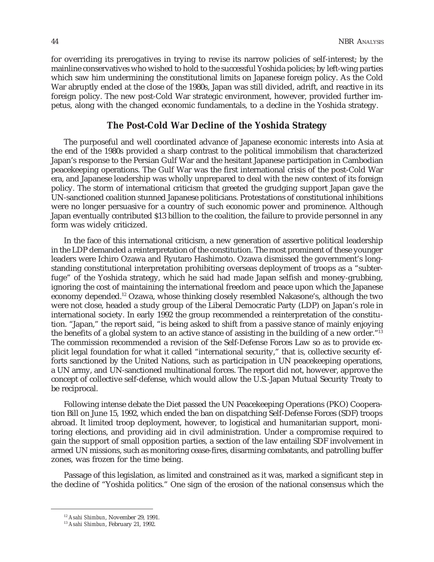for overriding its prerogatives in trying to revise its narrow policies of self-interest; by the mainline conservatives who wished to hold to the successful Yoshida policies; by left-wing parties which saw him undermining the constitutional limits on Japanese foreign policy. As the Cold War abruptly ended at the close of the 1980s, Japan was still divided, adrift, and reactive in its foreign policy. The new post-Cold War strategic environment, however, provided further impetus, along with the changed economic fundamentals, to a decline in the Yoshida strategy.

## **The Post-Cold War Decline of the Yoshida Strategy**

The purposeful and well coordinated advance of Japanese economic interests into Asia at the end of the 1980s provided a sharp contrast to the political immobilism that characterized Japan's response to the Persian Gulf War and the hesitant Japanese participation in Cambodian peacekeeping operations. The Gulf War was the first international crisis of the post-Cold War era, and Japanese leadership was wholly unprepared to deal with the new context of its foreign policy. The storm of international criticism that greeted the grudging support Japan gave the UN-sanctioned coalition stunned Japanese politicians. Protestations of constitutional inhibitions were no longer persuasive for a country of such economic power and prominence. Although Japan eventually contributed \$13 billion to the coalition, the failure to provide personnel in any form was widely criticized.

In the face of this international criticism, a new generation of assertive political leadership in the LDP demanded a reinterpretation of the constitution. The most prominent of these younger leaders were Ichiro Ozawa and Ryutaro Hashimoto. Ozawa dismissed the government's longstanding constitutional interpretation prohibiting overseas deployment of troops as a "subterfuge" of the Yoshida strategy, which he said had made Japan selfish and money-grubbing, ignoring the cost of maintaining the international freedom and peace upon which the Japanese economy depended.<sup>12</sup> Ozawa, whose thinking closely resembled Nakasone's, although the two were not close, headed a study group of the Liberal Democratic Party (LDP) on Japan's role in international society. In early 1992 the group recommended a reinterpretation of the constitution. "Japan," the report said, "is being asked to shift from a passive stance of mainly enjoying the benefits of a global system to an active stance of assisting in the building of a new order."13 The commission recommended a revision of the Self-Defense Forces Law so as to provide explicit legal foundation for what it called "international security," that is, collective security efforts sanctioned by the United Nations, such as participation in UN peacekeeping operations, a UN army, and UN-sanctioned multinational forces. The report did not, however, approve the concept of collective self-defense, which would allow the U.S.-Japan Mutual Security Treaty to be reciprocal.

Following intense debate the Diet passed the UN Peacekeeping Operations (PKO) Cooperation Bill on June 15, 1992, which ended the ban on dispatching Self-Defense Forces (SDF) troops abroad. It limited troop deployment, however, to logistical and humanitarian support, monitoring elections, and providing aid in civil administration. Under a compromise required to gain the support of small opposition parties, a section of the law entailing SDF involvement in armed UN missions, such as monitoring cease-fires, disarming combatants, and patrolling buffer zones, was frozen for the time being.

Passage of this legislation, as limited and constrained as it was, marked a significant step in the decline of "Yoshida politics." One sign of the erosion of the national consensus which the

<sup>12</sup> *Asahi Shimbun*, November 29, 1991.

<sup>13</sup> *Asahi Shimbun*, February 21, 1992.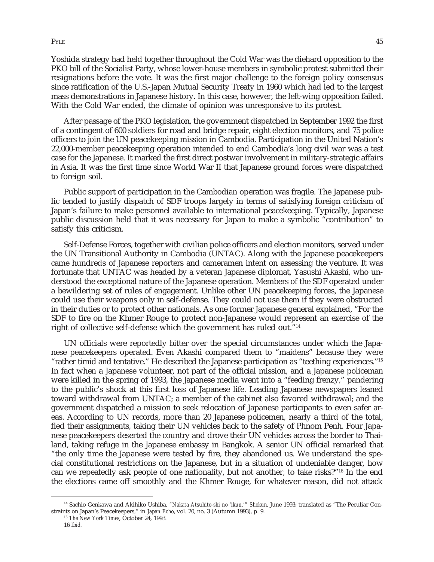#### P<sub>YLE</sub> 45

Yoshida strategy had held together throughout the Cold War was the diehard opposition to the PKO bill of the Socialist Party, whose lower-house members in symbolic protest submitted their resignations before the vote. It was the first major challenge to the foreign policy consensus since ratification of the U.S.-Japan Mutual Security Treaty in 1960 which had led to the largest mass demonstrations in Japanese history. In this case, however, the left-wing opposition failed. With the Cold War ended, the climate of opinion was unresponsive to its protest.

After passage of the PKO legislation, the government dispatched in September 1992 the first of a contingent of 600 soldiers for road and bridge repair, eight election monitors, and 75 police officers to join the UN peacekeeping mission in Cambodia. Participation in the United Nation's 22,000-member peacekeeping operation intended to end Cambodia's long civil war was a test case for the Japanese. It marked the first direct postwar involvement in military-strategic affairs in Asia. It was the first time since World War II that Japanese ground forces were dispatched to foreign soil.

Public support of participation in the Cambodian operation was fragile. The Japanese public tended to justify dispatch of SDF troops largely in terms of satisfying foreign criticism of Japan's failure to make personnel available to international peacekeeping. Typically, Japanese public discussion held that it was necessary for Japan to make a symbolic "contribution" to satisfy this criticism.

Self-Defense Forces, together with civilian police officers and election monitors, served under the UN Transitional Authority in Cambodia (UNTAC). Along with the Japanese peacekeepers came hundreds of Japanese reporters and cameramen intent on assessing the venture. It was fortunate that UNTAC was headed by a veteran Japanese diplomat, Yasushi Akashi, who understood the exceptional nature of the Japanese operation. Members of the SDF operated under a bewildering set of rules of engagement. Unlike other UN peacekeeping forces, the Japanese could use their weapons only in self-defense. They could not use them if they were obstructed in their duties or to protect other nationals. As one former Japanese general explained, "For the SDF to fire on the Khmer Rouge to protect non-Japanese would represent an exercise of the right of collective self-defense which the government has ruled out."14

UN officials were reportedly bitter over the special circumstances under which the Japanese peacekeepers operated. Even Akashi compared them to "maidens" because they were "rather timid and tentative." He described the Japanese participation as "teething experiences."15 In fact when a Japanese volunteer, not part of the official mission, and a Japanese policeman were killed in the spring of 1993, the Japanese media went into a "feeding frenzy," pandering to the public's shock at this first loss of Japanese life. Leading Japanese newspapers leaned toward withdrawal from UNTAC; a member of the cabinet also favored withdrawal; and the government dispatched a mission to seek relocation of Japanese participants to even safer areas. According to UN records, more than 20 Japanese policemen, nearly a third of the total, fled their assignments, taking their UN vehicles back to the safety of Phnom Penh. Four Japanese peacekeepers deserted the country and drove their UN vehicles across the border to Thailand, taking refuge in the Japanese embassy in Bangkok. A senior UN official remarked that "the only time the Japanese were tested by fire, they abandoned us. We understand the special constitutional restrictions on the Japanese, but in a situation of undeniable danger, how can we repeatedly ask people of one nationality, but not another, to take risks?"16 In the end the elections came off smoothly and the Khmer Rouge, for whatever reason, did not attack

<sup>&</sup>lt;sup>14</sup> Sachio Genkawa and Akihiko Ushiba, "Nakata Atsuhito-shi no 'ikun,'" Shokun, June 1993; translated as "The Peculiar Constraints on Japan's Peacekeepers," in *Japan Echo*, vol. 20, no. 3 (Autumn 1993), p. 9.

<sup>15</sup> *The New York Times*, October 24, 1993.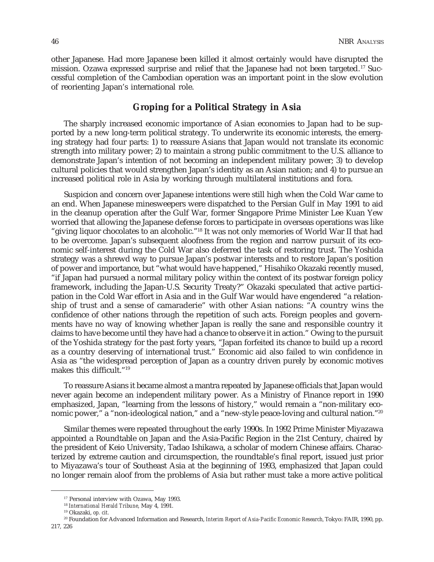other Japanese. Had more Japanese been killed it almost certainly would have disrupted the mission. Ozawa expressed surprise and relief that the Japanese had not been targeted.17 Successful completion of the Cambodian operation was an important point in the slow evolution of reorienting Japan's international role.

#### **Groping for a Political Strategy in Asia**

The sharply increased economic importance of Asian economies to Japan had to be supported by a new long-term political strategy. To underwrite its economic interests, the emerging strategy had four parts: 1) to reassure Asians that Japan would not translate its economic strength into military power; 2) to maintain a strong public commitment to the U.S. alliance to demonstrate Japan's intention of not becoming an independent military power; 3) to develop cultural policies that would strengthen Japan's identity as an Asian nation; and 4) to pursue an increased political role in Asia by working through multilateral institutions and fora.

Suspicion and concern over Japanese intentions were still high when the Cold War came to an end. When Japanese minesweepers were dispatched to the Persian Gulf in May 1991 to aid in the cleanup operation after the Gulf War, former Singapore Prime Minister Lee Kuan Yew worried that allowing the Japanese defense forces to participate in overseas operations was like "giving liquor chocolates to an alcoholic."<sup>18</sup> It was not only memories of World War II that had to be overcome. Japan's subsequent aloofness from the region and narrow pursuit of its economic self-interest during the Cold War also deferred the task of restoring trust. The Yoshida strategy was a shrewd way to pursue Japan's postwar interests and to restore Japan's position of power and importance, but "what would have happened," Hisahiko Okazaki recently mused, "if Japan had pursued a normal military policy within the context of its postwar foreign policy framework, including the Japan-U.S. Security Treaty?" Okazaki speculated that active participation in the Cold War effort in Asia and in the Gulf War would have engendered "a relationship of trust and a sense of camaraderie" with other Asian nations: "A country wins the confidence of other nations through the repetition of such acts. Foreign peoples and governments have no way of knowing whether Japan is really the sane and responsible country it claims to have become until they have had a chance to observe it in action." Owing to the pursuit of the Yoshida strategy for the past forty years, "Japan forfeited its chance to build up a record as a country deserving of international trust." Economic aid also failed to win confidence in Asia as "the widespread perception of Japan as a country driven purely by economic motives makes this difficult."19

To reassure Asians it became almost a mantra repeated by Japanese officials that Japan would never again become an independent military power. As a Ministry of Finance report in 1990 emphasized, Japan, "learning from the lessons of history," would remain a "non-military economic power," a "non-ideological nation," and a "new-style peace-loving and cultural nation."<sup>20</sup>

Similar themes were repeated throughout the early 1990s. In 1992 Prime Minister Miyazawa appointed a Roundtable on Japan and the Asia-Pacific Region in the 21st Century, chaired by the president of Keio University, Tadao Ishikawa, a scholar of modern Chinese affairs. Characterized by extreme caution and circumspection, the roundtable's final report, issued just prior to Miyazawa's tour of Southeast Asia at the beginning of 1993, emphasized that Japan could no longer remain aloof from the problems of Asia but rather must take a more active political

<sup>&</sup>lt;sup>17</sup> Personal interview with Ozawa, May 1993.

<sup>18</sup> *International Herald Tribune*, May 4, 1991.

<sup>19</sup> Okazaki, *op. cit.*

<sup>20</sup> Foundation for Advanced Information and Research, *Interim Report of Asia-Pacific Economic Research,* Tokyo: FAIR, 1990, pp. 217, 226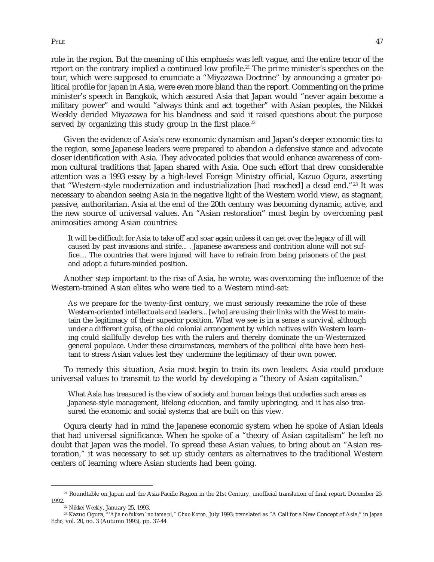role in the region. But the meaning of this emphasis was left vague, and the entire tenor of the report on the contrary implied a continued low profile.<sup>21</sup> The prime minister's speeches on the tour, which were supposed to enunciate a "Miyazawa Doctrine" by announcing a greater political profile for Japan in Asia, were even more bland than the report. Commenting on the prime minister's speech in Bangkok, which assured Asia that Japan would "never again become a military power" and would "always think and act together" with Asian peoples, the Nikkei Weekly derided Miyazawa for his blandness and said it raised questions about the purpose served by organizing this study group in the first place.<sup>22</sup>

Given the evidence of Asia's new economic dynamism and Japan's deeper economic ties to the region, some Japanese leaders were prepared to abandon a defensive stance and advocate closer identification with Asia. They advocated policies that would enhance awareness of common cultural traditions that Japan shared with Asia. One such effort that drew considerable attention was a 1993 essay by a high-level Foreign Ministry official, Kazuo Ogura, asserting that "Western-style modernization and industrialization [had reached] a dead end."<sup>23</sup> It was necessary to abandon seeing Asia in the negative light of the Western world view, as stagnant, passive, authoritarian. Asia at the end of the 20th century was becoming dynamic, active, and the new source of universal values. An "Asian restoration" must begin by overcoming past animosities among Asian countries:

It will be difficult for Asia to take off and soar again unless it can get over the legacy of ill will caused by past invasions and strife... . Japanese awareness and contrition alone will not suffice.... The countries that were injured will have to refrain from being prisoners of the past and adopt a future-minded position.

Another step important to the rise of Asia, he wrote, was overcoming the influence of the Western-trained Asian elites who were tied to a Western mind-set:

As we prepare for the twenty-first century, we must seriously reexamine the role of these Western-oriented intellectuals and leaders... [who] are using their links with the West to maintain the legitimacy of their superior position. What we see is in a sense a survival, although under a different guise, of the old colonial arrangement by which natives with Western learning could skillfully develop ties with the rulers and thereby dominate the un-Westernized general populace. Under these circumstances, members of the political elite have been hesitant to stress Asian values lest they undermine the legitimacy of their own power.

To remedy this situation, Asia must begin to train its own leaders. Asia could produce universal values to transmit to the world by developing a "theory of Asian capitalism."

What Asia has treasured is the view of society and human beings that underlies such areas as Japanese-style management, lifelong education, and family upbringing, and it has also treasured the economic and social systems that are built on this view.

Ogura clearly had in mind the Japanese economic system when he spoke of Asian ideals that had universal significance. When he spoke of a "theory of Asian capitalism" he left no doubt that Japan was the model. To spread these Asian values, to bring about an "Asian restoration," it was necessary to set up study centers as alternatives to the traditional Western centers of learning where Asian students had been going.

<sup>&</sup>lt;sup>21</sup> Roundtable on Japan and the Asia-Pacific Region in the 21st Century, unofficial translation of final report, December 25, 1992.22 *Nikkei Weekly*, January 25, 1993.

<sup>23</sup> Kazuo Ogura, *"'Ajia no fukken' no tame ni," Chuo Koron,* July 1993; translated as "A Call for a New Concept of Asia," in *Japan Echo,* vol. 20, no. 3 (Autumn 1993), pp. 37-44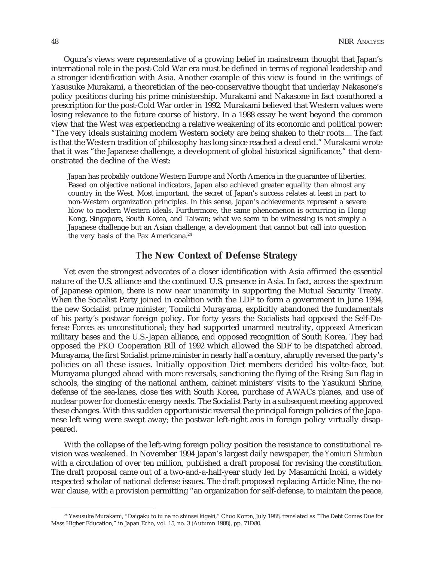Ogura's views were representative of a growing belief in mainstream thought that Japan's international role in the post-Cold War era must be defined in terms of regional leadership and a stronger identification with Asia. Another example of this view is found in the writings of Yasusuke Murakami, a theoretician of the neo-conservative thought that underlay Nakasone's policy positions during his prime ministership. Murakami and Nakasone in fact coauthored a prescription for the post-Cold War order in 1992. Murakami believed that Western values were losing relevance to the future course of history. In a 1988 essay he went beyond the common view that the West was experiencing a relative weakening of its economic and political power: "The very ideals sustaining modern Western society are being shaken to their roots.... The fact is that the Western tradition of philosophy has long since reached a dead end." Murakami wrote that it was "the Japanese challenge, a development of global historical significance," that demonstrated the decline of the West:

Japan has probably outdone Western Europe and North America in the guarantee of liberties. Based on objective national indicators, Japan also achieved greater equality than almost any country in the West. Most important, the secret of Japan's success relates at least in part to non-Western organization principles. In this sense, Japan's achievements represent a severe blow to modern Western ideals. Furthermore, the same phenomenon is occurring in Hong Kong, Singapore, South Korea, and Taiwan; what we seem to be witnessing is not simply a Japanese challenge but an Asian challenge, a development that cannot but call into question the very basis of the Pax Americana.<sup>24</sup>

### **The New Context of Defense Strategy**

Yet even the strongest advocates of a closer identification with Asia affirmed the essential nature of the U.S. alliance and the continued U.S. presence in Asia. In fact, across the spectrum of Japanese opinion, there is now near unanimity in supporting the Mutual Security Treaty. When the Socialist Party joined in coalition with the LDP to form a government in June 1994, the new Socialist prime minister, Tomiichi Murayama, explicitly abandoned the fundamentals of his party's postwar foreign policy. For forty years the Socialists had opposed the Self-Defense Forces as unconstitutional; they had supported unarmed neutrality, opposed American military bases and the U.S.-Japan alliance, and opposed recognition of South Korea. They had opposed the PKO Cooperation Bill of 1992 which allowed the SDF to be dispatched abroad. Murayama, the first Socialist prime minister in nearly half a century, abruptly reversed the party's policies on all these issues. Initially opposition Diet members derided his volte-face, but Murayama plunged ahead with more reversals, sanctioning the flying of the Rising Sun flag in schools, the singing of the national anthem, cabinet ministers' visits to the Yasukuni Shrine, defense of the sea-lanes, close ties with South Korea, purchase of AWACs planes, and use of nuclear power for domestic energy needs. The Socialist Party in a subsequent meeting approved these changes. With this sudden opportunistic reversal the principal foreign policies of the Japanese left wing were swept away; the postwar left-right axis in foreign policy virtually disappeared.

With the collapse of the left-wing foreign policy position the resistance to constitutional revision was weakened. In November 1994 Japan's largest daily newspaper, the *Yomiuri Shimbun* with a circulation of over ten million, published a draft proposal for revising the constitution. The draft proposal came out of a two-and-a-half-year study led by Masamichi Inoki, a widely respected scholar of national defense issues. The draft proposed replacing Article Nine, the nowar clause, with a provision permitting "an organization for self-defense, to maintain the peace,

<sup>24</sup> Yasusuke Murakami, "Daigaku to iu na no shinsei kigeki," Chuo Koron, July 1988, translated as "The Debt Comes Due for Mass Higher Education," in Japan Echo, vol. 15, no. 3 (Autumn 1988), pp. 71Ð80.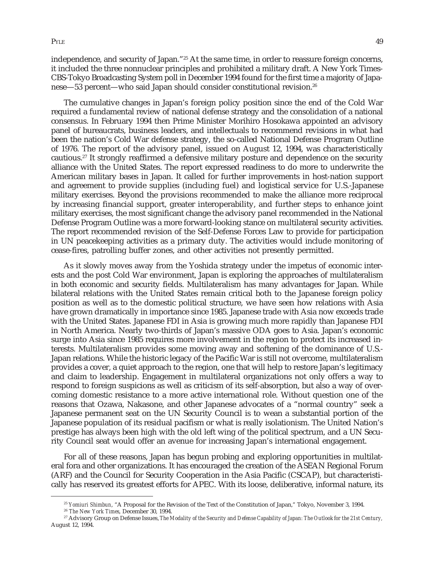P<sub>YLE</sub> 49

independence, and security of Japan."25 At the same time, in order to reassure foreign concerns, it included the three nonnuclear principles and prohibited a military draft. A New York Times-CBS-Tokyo Broadcasting System poll in December 1994 found for the first time a majority of Japanese—53 percent—who said Japan should consider constitutional revision.26

The cumulative changes in Japan's foreign policy position since the end of the Cold War required a fundamental review of national defense strategy and the consolidation of a national consensus. In February 1994 then Prime Minister Morihiro Hosokawa appointed an advisory panel of bureaucrats, business leaders, and intellectuals to recommend revisions in what had been the nation's Cold War defense strategy, the so-called National Defense Program Outline of 1976. The report of the advisory panel, issued on August 12, 1994, was characteristically cautious.27 It strongly reaffirmed a defensive military posture and dependence on the security alliance with the United States. The report expressed readiness to do more to underwrite the American military bases in Japan. It called for further improvements in host-nation support and agreement to provide supplies (including fuel) and logistical service for U.S.-Japanese military exercises. Beyond the provisions recommended to make the alliance more reciprocal by increasing financial support, greater interoperability, and further steps to enhance joint military exercises, the most significant change the advisory panel recommended in the National Defense Program Outline was a more forward-looking stance on multilateral security activities. The report recommended revision of the Self-Defense Forces Law to provide for participation in UN peacekeeping activities as a primary duty. The activities would include monitoring of cease-fires, patrolling buffer zones, and other activities not presently permitted.

As it slowly moves away from the Yoshida strategy under the impetus of economic interests and the post Cold War environment, Japan is exploring the approaches of multilateralism in both economic and security fields. Multilateralism has many advantages for Japan. While bilateral relations with the United States remain critical both to the Japanese foreign policy position as well as to the domestic political structure, we have seen how relations with Asia have grown dramatically in importance since 1985. Japanese trade with Asia now exceeds trade with the United States. Japanese FDI in Asia is growing much more rapidly than Japanese FDI in North America. Nearly two-thirds of Japan's massive ODA goes to Asia. Japan's economic surge into Asia since 1985 requires more involvement in the region to protect its increased interests. Multilateralism provides some moving away and softening of the dominance of U.S.- Japan relations. While the historic legacy of the Pacific War is still not overcome, multilateralism provides a cover, a quiet approach to the region, one that will help to restore Japan's legitimacy and claim to leadership. Engagement in multilateral organizations not only offers a way to respond to foreign suspicions as well as criticism of its self-absorption, but also a way of overcoming domestic resistance to a more active international role. Without question one of the reasons that Ozawa, Nakasone, and other Japanese advocates of a "normal country" seek a Japanese permanent seat on the UN Security Council is to wean a substantial portion of the Japanese population of its residual pacifism or what is really isolationism. The United Nation's prestige has always been high with the old left wing of the political spectrum, and a UN Security Council seat would offer an avenue for increasing Japan's international engagement.

For all of these reasons, Japan has begun probing and exploring opportunities in multilateral fora and other organizations. It has encouraged the creation of the ASEAN Regional Forum (ARF) and the Council for Security Cooperation in the Asia Pacific (CSCAP), but characteristically has reserved its greatest efforts for APEC. With its loose, deliberative, informal nature, its

<sup>&</sup>lt;sup>25</sup> *Yomiuri Shimbun*, "A Proposal for the Revision of the Text of the Constitution of Japan," Tokyo, November 3, 1994.

<sup>26</sup> *The New York Times*, December 30, 1994.

<sup>27</sup> Advisory Group on Defense Issues, *The Modality of the Security and Defense Capability of Japan: The Outlook for the 21st Century,* August 12, 1994.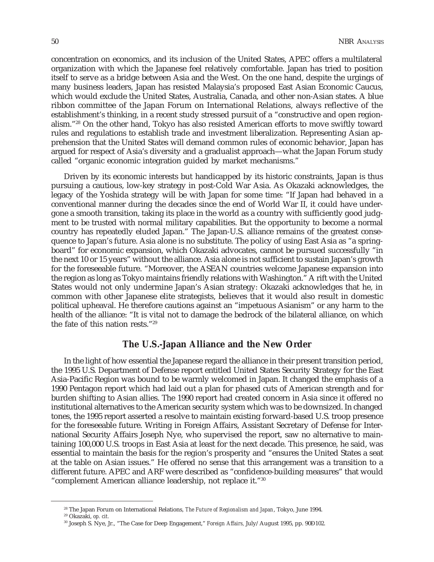concentration on economics, and its inclusion of the United States, APEC offers a multilateral organization with which the Japanese feel relatively comfortable. Japan has tried to position itself to serve as a bridge between Asia and the West. On the one hand, despite the urgings of many business leaders, Japan has resisted Malaysia's proposed East Asian Economic Caucus, which would exclude the United States, Australia, Canada, and other non-Asian states. A blue ribbon committee of the Japan Forum on International Relations, always reflective of the establishment's thinking, in a recent study stressed pursuit of a "constructive and open regionalism."28 On the other hand, Tokyo has also resisted American efforts to move swiftly toward rules and regulations to establish trade and investment liberalization. Representing Asian apprehension that the United States will demand common rules of economic behavior, Japan has argued for respect of Asia's diversity and a gradualist approach—what the Japan Forum study called "organic economic integration guided by market mechanisms."

Driven by its economic interests but handicapped by its historic constraints, Japan is thus pursuing a cautious, low-key strategy in post-Cold War Asia. As Okazaki acknowledges, the legacy of the Yoshida strategy will be with Japan for some time: "If Japan had behaved in a conventional manner during the decades since the end of World War II, it could have undergone a smooth transition, taking its place in the world as a country with sufficiently good judgment to be trusted with normal military capabilities. But the opportunity to become a normal country has repeatedly eluded Japan." The Japan-U.S. alliance remains of the greatest consequence to Japan's future. Asia alone is no substitute. The policy of using East Asia as "a springboard" for economic expansion, which Okazaki advocates, cannot be pursued successfully "in the next 10 or 15 years" without the alliance. Asia alone is not sufficient to sustain Japan's growth for the foreseeable future. "Moreover, the ASEAN countries welcome Japanese expansion into the region as long as Tokyo maintains friendly relations with Washington." A rift with the United States would not only undermine Japan's Asian strategy: Okazaki acknowledges that he, in common with other Japanese elite strategists, believes that it would also result in domestic political upheaval. He therefore cautions against an "impetuous Asianism" or any harm to the health of the alliance: "It is vital not to damage the bedrock of the bilateral alliance, on which the fate of this nation rests."29

#### **The U.S.-Japan Alliance and the New Order**

In the light of how essential the Japanese regard the alliance in their present transition period, the 1995 U.S. Department of Defense report entitled United States Security Strategy for the East Asia-Pacific Region was bound to be warmly welcomed in Japan. It changed the emphasis of a 1990 Pentagon report which had laid out a plan for phased cuts of American strength and for burden shifting to Asian allies. The 1990 report had created concern in Asia since it offered no institutional alternatives to the American security system which was to be downsized. In changed tones, the 1995 report asserted a resolve to maintain existing forward-based U.S. troop presence for the foreseeable future. Writing in Foreign Affairs, Assistant Secretary of Defense for International Security Affairs Joseph Nye, who supervised the report, saw no alternative to maintaining 100,000 U.S. troops in East Asia at least for the next decade. This presence, he said, was essential to maintain the basis for the region's prosperity and "ensures the United States a seat at the table on Asian issues." He offered no sense that this arrangement was a transition to a different future. APEC and ARF were described as "confidence-building measures" that would "complement American alliance leadership, not replace it."30

<sup>28</sup> The Japan Forum on International Relations, *The Future of Regionalism and Japan*, Tokyo, June 1994.

<sup>29</sup> Okazaki, *op. cit.*

<sup>30</sup> Joseph S. Nye, Jr., "The Case for Deep Engagement," *Foreign Affairs,* July/August 1995, pp. 90Ð102.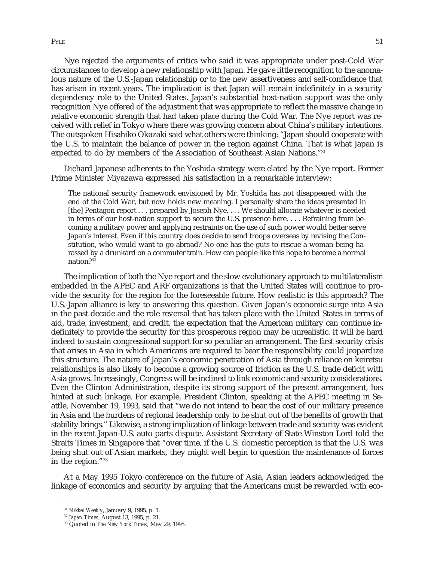Nye rejected the arguments of critics who said it was appropriate under post-Cold War circumstances to develop a new relationship with Japan. He gave little recognition to the anomalous nature of the U.S.-Japan relationship or to the new assertiveness and self-confidence that has arisen in recent years. The implication is that Japan will remain indefinitely in a security dependency role to the United States. Japan's substantial host-nation support was the only recognition Nye offered of the adjustment that was appropriate to reflect the massive change in relative economic strength that had taken place during the Cold War. The Nye report was received with relief in Tokyo where there was growing concern about China's military intentions. The outspoken Hisahiko Okazaki said what others were thinking: "Japan should cooperate with the U.S. to maintain the balance of power in the region against China. That is what Japan is expected to do by members of the Association of Southeast Asian Nations."31

Diehard Japanese adherents to the Yoshida strategy were elated by the Nye report. Former Prime Minister Miyazawa expressed his satisfaction in a remarkable interview:

The national security framework envisioned by Mr. Yoshida has not disappeared with the end of the Cold War, but now holds new meaning. I personally share the ideas presented in [the] Pentagon report . . . prepared by Joseph Nye. . . . We should allocate whatever is needed in terms of our host-nation support to secure the U.S. presence here. . . . Refraining from becoming a military power and applying restraints on the use of such power would better serve Japan's interest. Even if this country does decide to send troops overseas by revising the Constitution, who would want to go abroad? No one has the guts to rescue a woman being harassed by a drunkard on a commuter train. How can people like this hope to become a normal nation?<sup>32</sup>

The implication of both the Nye report and the slow evolutionary approach to multilateralism embedded in the APEC and ARF organizations is that the United States will continue to provide the security for the region for the foreseeable future. How realistic is this approach? The U.S.-Japan alliance is key to answering this question. Given Japan's economic surge into Asia in the past decade and the role reversal that has taken place with the United States in terms of aid, trade, investment, and credit, the expectation that the American military can continue indefinitely to provide the security for this prosperous region may be unrealistic. It will be hard indeed to sustain congressional support for so peculiar an arrangement. The first security crisis that arises in Asia in which Americans are required to bear the responsibility could jeopardize this structure. The nature of Japan's economic penetration of Asia through reliance on keiretsu relationships is also likely to become a growing source of friction as the U.S. trade deficit with Asia grows. Increasingly, Congress will be inclined to link economic and security considerations. Even the Clinton Administration, despite its strong support of the present arrangement, has hinted at such linkage. For example, President Clinton, speaking at the APEC meeting in Seattle, November 19, 1993, said that "we do not intend to bear the cost of our military presence in Asia and the burdens of regional leadership only to be shut out of the benefits of growth that stability brings." Likewise, a strong implication of linkage between trade and security was evident in the recent Japan-U.S. auto parts dispute. Assistant Secretary of State Winston Lord told the Straits Times in Singapore that "over time, if the U.S. domestic perception is that the U.S. was being shut out of Asian markets, they might well begin to question the maintenance of forces in the region."33

At a May 1995 Tokyo conference on the future of Asia, Asian leaders acknowledged the linkage of economics and security by arguing that the Americans must be rewarded with eco-

<sup>31</sup> *Nikkei Weekly*, January 9, 1995, p. 1.

<sup>32</sup> *Japan Times*, August 13, 1995, p. 21.

<sup>33</sup> Quoted in *The New York Times*, May 29, 1995.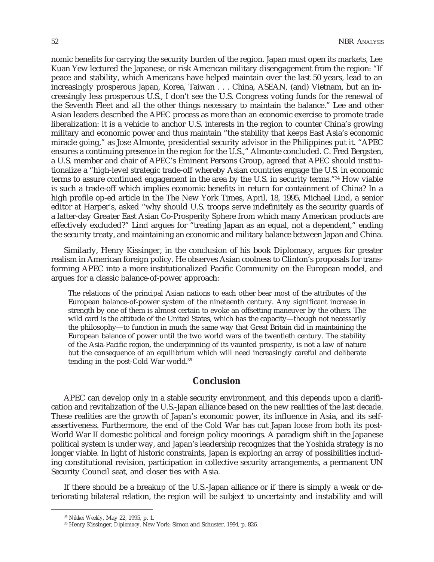nomic benefits for carrying the security burden of the region. Japan must open its markets, Lee Kuan Yew lectured the Japanese, or risk American military disengagement from the region: "If peace and stability, which Americans have helped maintain over the last 50 years, lead to an increasingly prosperous Japan, Korea, Taiwan . . . China, ASEAN, (and) Vietnam, but an increasingly less prosperous U.S., I don't see the U.S. Congress voting funds for the renewal of the Seventh Fleet and all the other things necessary to maintain the balance." Lee and other Asian leaders described the APEC process as more than an economic exercise to promote trade liberalization: it is a vehicle to anchor U.S. interests in the region to counter China's growing military and economic power and thus maintain "the stability that keeps East Asia's economic miracle going," as Jose Almonte, presidential security advisor in the Philippines put it. "APEC ensures a continuing presence in the region for the U.S.," Almonte concluded. C. Fred Bergsten, a U.S. member and chair of APEC's Eminent Persons Group, agreed that APEC should institutionalize a "high-level strategic trade-off whereby Asian countries engage the U.S. in economic terms to assure continued engagement in the area by the U.S. in security terms."34 How viable is such a trade-off which implies economic benefits in return for containment of China? In a high profile op-ed article in the The New York Times, April, 18, 1995, Michael Lind, a senior editor at Harper's, asked "why should U.S. troops serve indefinitely as the security guards of a latter-day Greater East Asian Co-Prosperity Sphere from which many American products are effectively excluded?" Lind argues for "treating Japan as an equal, not a dependent," ending the security treaty, and maintaining an economic and military balance between Japan and China.

Similarly, Henry Kissinger, in the conclusion of his book Diplomacy, argues for greater realism in American foreign policy. He observes Asian coolness to Clinton's proposals for transforming APEC into a more institutionalized Pacific Community on the European model, and argues for a classic balance-of-power approach:

The relations of the principal Asian nations to each other bear most of the attributes of the European balance-of-power system of the nineteenth century. Any significant increase in strength by one of them is almost certain to evoke an offsetting maneuver by the others. The wild card is the attitude of the United States, which has the capacity—though not necessarily the philosophy—to function in much the same way that Great Britain did in maintaining the European balance of power until the two world wars of the twentieth century. The stability of the Asia-Pacific region, the underpinning of its vaunted prosperity, is not a law of nature but the consequence of an equilibrium which will need increasingly careful and deliberate tending in the post-Cold War world.35

#### **Conclusion**

APEC can develop only in a stable security environment, and this depends upon a clarification and revitalization of the U.S.-Japan alliance based on the new realities of the last decade. These realities are the growth of Japan's economic power, its influence in Asia, and its selfassertiveness. Furthermore, the end of the Cold War has cut Japan loose from both its post-World War II domestic political and foreign policy moorings. A paradigm shift in the Japanese political system is under way, and Japan's leadership recognizes that the Yoshida strategy is no longer viable. In light of historic constraints, Japan is exploring an array of possibilities including constitutional revision, participation in collective security arrangements, a permanent UN Security Council seat, and closer ties with Asia.

If there should be a breakup of the U.S.-Japan alliance or if there is simply a weak or deteriorating bilateral relation, the region will be subject to uncertainty and instability and will

<sup>34</sup> *Nikkei Weekly*, May 22, 1995, p. 1.

<sup>35</sup> Henry Kissinger, *Diplomacy,* New York: Simon and Schuster, 1994, p. 826.